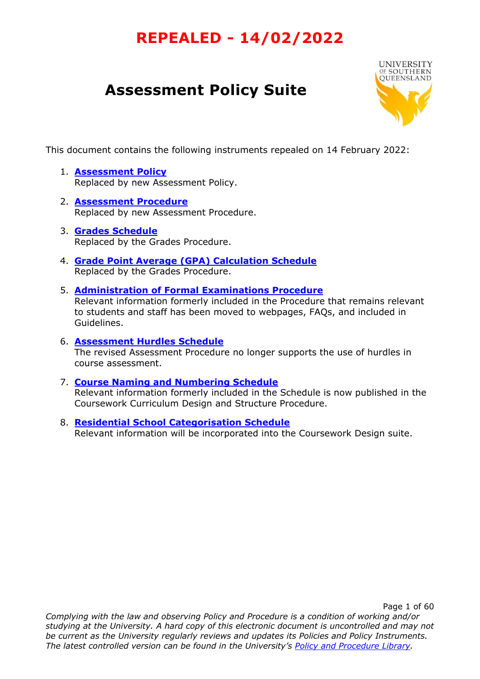# **Assessment Policy Suite**



This document contains the following instruments repealed on 14 February 2022:

- 1. **[Assessment Policy](#page-1-0)** Replaced by new Assessment Policy.
- 2. **[Assessment Procedure](#page-5-0)** Replaced by new Assessment Procedure.
- 3. **[Grades Schedule](#page-22-0)** Replaced by the Grades Procedure.
- 4. **[Grade Point Average \(GPA\) Calculation Schedule](#page-30-0)** Replaced by the Grades Procedure.
- 5. **Administration [of Formal Examinations Procedure](#page-36-0)** Relevant information formerly included in the Procedure that remains relevant to students and staff has been moved to webpages, FAQs, and included in Guidelines.
- 6. **[Assessment Hurdles Schedule](#page-46-0)** The revised Assessment Procedure no longer supports the use of hurdles in course assessment.
- 7. **[Course Naming and Numbering Schedule](#page-51-0)** Relevant information formerly included in the Schedule is now published in the Coursework Curriculum Design and Structure Procedure.
- 8. **[Residential School Categorisation Schedule](#page-55-0)** Relevant information will be incorporated into the Coursework Design suite.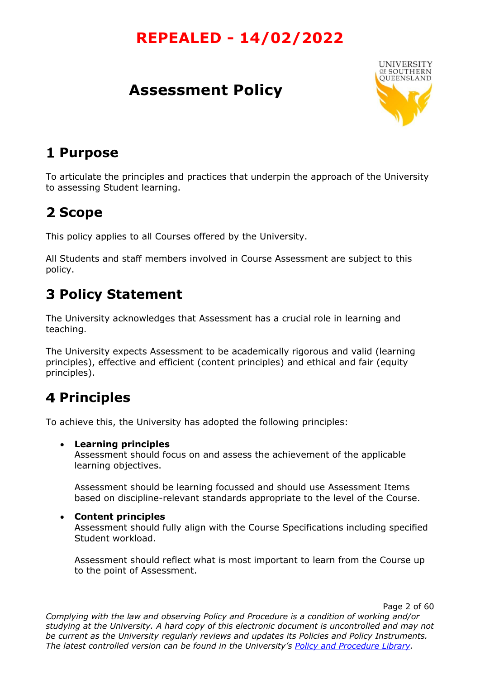## **Assessment Policy**



### <span id="page-1-0"></span>**Purpose**

To articulate the principles and practices that underpin the approach of the University to assessing Student learning.

# 2 Scope

This policy applies to all Courses offered by the University.

All Students and staff members involved in Course Assessment are subject to this policy.

## **Policy Statement**

The University acknowledges that Assessment has a crucial role in learning and teaching.

The University expects Assessment to be academically rigorous and valid (learning principles), effective and efficient (content principles) and ethical and fair (equity principles).

# **4 Principles**

To achieve this, the University has adopted the following principles:

#### • **Learning principles**

Assessment should focus on and assess the achievement of the applicable learning objectives.

Assessment should be learning focussed and should use Assessment Items based on discipline-relevant standards appropriate to the level of the Course.

#### • **Content principles**

Assessment should fully align with the Course Specifications including specified Student workload.

Assessment should reflect what is most important to learn from the Course up to the point of Assessment.

Page 2 of 60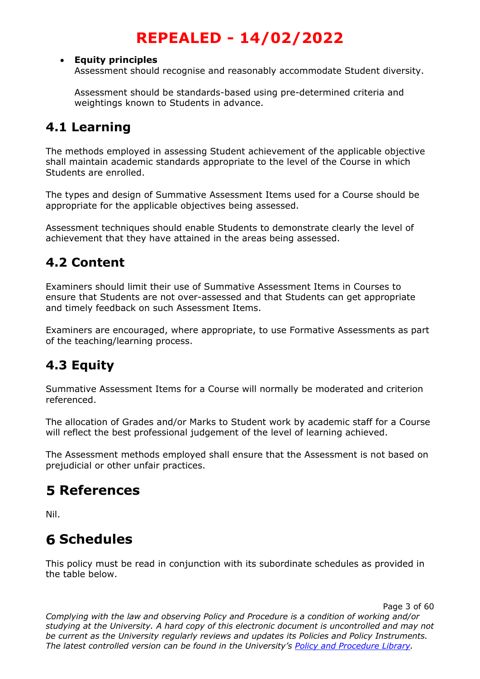#### • **Equity principles**

Assessment should recognise and reasonably accommodate Student diversity.

Assessment should be standards-based using pre-determined criteria and weightings known to Students in advance.

### **4.1 Learning**

The methods employed in assessing Student achievement of the applicable objective shall maintain academic standards appropriate to the level of the Course in which Students are enrolled.

The types and design of Summative Assessment Items used for a Course should be appropriate for the applicable objectives being assessed.

Assessment techniques should enable Students to demonstrate clearly the level of achievement that they have attained in the areas being assessed.

### **4.2 Content**

Examiners should limit their use of Summative Assessment Items in Courses to ensure that Students are not over-assessed and that Students can get appropriate and timely feedback on such Assessment Items.

Examiners are encouraged, where appropriate, to use Formative Assessments as part of the teaching/learning process.

### **4.3 Equity**

Summative Assessment Items for a Course will normally be moderated and criterion referenced.

The allocation of Grades and/or Marks to Student work by academic staff for a Course will reflect the best professional judgement of the level of learning achieved.

The Assessment methods employed shall ensure that the Assessment is not based on prejudicial or other unfair practices.

### **References**

Nil.

### **Schedules**

This policy must be read in conjunction with its subordinate schedules as provided in the table below.

Page 3 of 60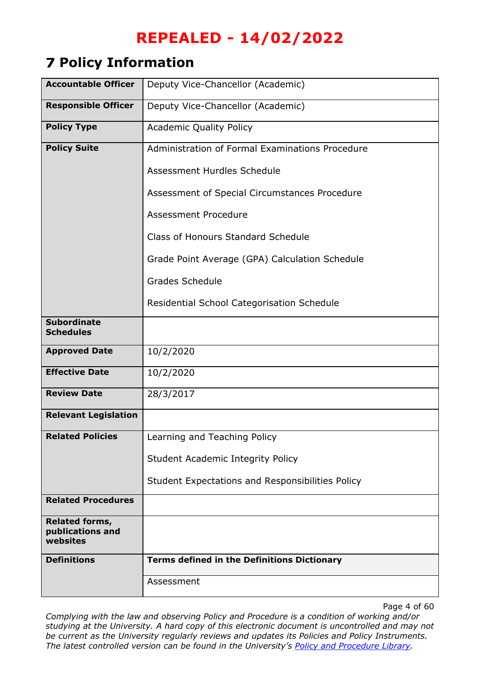### **Policy Information**

| <b>Accountable Officer</b>                            | Deputy Vice-Chancellor (Academic)                  |
|-------------------------------------------------------|----------------------------------------------------|
| <b>Responsible Officer</b>                            | Deputy Vice-Chancellor (Academic)                  |
| <b>Policy Type</b>                                    | <b>Academic Quality Policy</b>                     |
| <b>Policy Suite</b>                                   | Administration of Formal Examinations Procedure    |
|                                                       | Assessment Hurdles Schedule                        |
|                                                       | Assessment of Special Circumstances Procedure      |
|                                                       | <b>Assessment Procedure</b>                        |
|                                                       | Class of Honours Standard Schedule                 |
|                                                       | Grade Point Average (GPA) Calculation Schedule     |
|                                                       | <b>Grades Schedule</b>                             |
|                                                       | Residential School Categorisation Schedule         |
| <b>Subordinate</b><br><b>Schedules</b>                |                                                    |
| <b>Approved Date</b>                                  | 10/2/2020                                          |
| <b>Effective Date</b>                                 | 10/2/2020                                          |
| <b>Review Date</b>                                    | 28/3/2017                                          |
| <b>Relevant Legislation</b>                           |                                                    |
| <b>Related Policies</b>                               | earning and Teaching Policy.                       |
|                                                       | <b>Student Academic Integrity Policy</b>           |
|                                                       | Student Expectations and Responsibilities Policy   |
| <b>Related Procedures</b>                             |                                                    |
| <b>Related forms,</b><br>publications and<br>websites |                                                    |
| <b>Definitions</b>                                    | <b>Terms defined in the Definitions Dictionary</b> |
|                                                       | Assessment                                         |

Page 4 of 60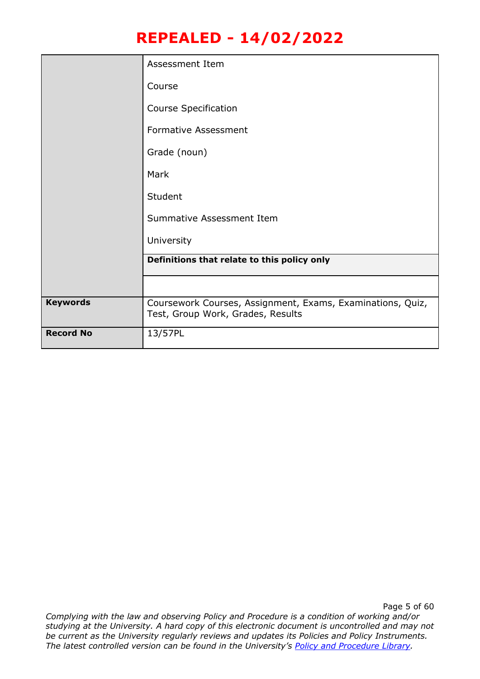|                  | Assessment Item                                                                                 |
|------------------|-------------------------------------------------------------------------------------------------|
|                  | Course                                                                                          |
|                  | <b>Course Specification</b>                                                                     |
|                  | <b>Formative Assessment</b>                                                                     |
|                  | Grade (noun)                                                                                    |
|                  | Mark                                                                                            |
|                  | Student                                                                                         |
|                  | Summative Assessment Item                                                                       |
|                  | University                                                                                      |
|                  | Definitions that relate to this policy only                                                     |
|                  |                                                                                                 |
| <b>Keywords</b>  | Coursework Courses, Assignment, Exams, Examinations, Quiz,<br>Test, Group Work, Grades, Results |
| <b>Record No</b> | 13/57PL                                                                                         |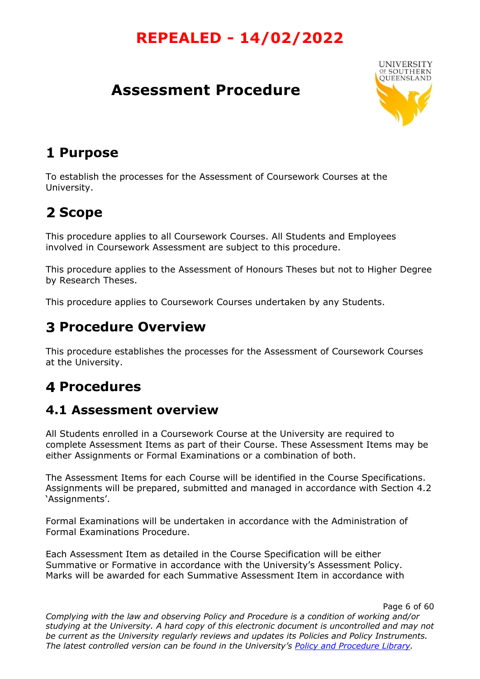## **Assessment Procedure**



### <span id="page-5-0"></span>**Purpose**

To establish the processes for the Assessment of Coursework Courses at the University.

# 2 Scope

This procedure applies to all Coursework Courses. All Students and Employees involved in Coursework Assessment are subject to this procedure.

This procedure applies to the Assessment of Honours Theses but not to Higher Degree by Research Theses.

This procedure applies to Coursework Courses undertaken by any Students.

### **3 Procedure Overview**

This procedure establishes the processes for the Assessment of Coursework Courses at the University.

### **4 Procedures**

### **4.1 Assessment overview**

All Students enrolled in a Coursework Course at the University are required to complete Assessment Items as part of their Course. These Assessment Items may be either Assignments or Formal Examinations or a combination of both.

The Assessment Items for each Course will be identified in the Course Specifications. Assignments will be prepared, submitted and managed in accordance with Section 4.2 'Assignments'.

Formal Examinations will be undertaken in accordance with the Administration of Formal Examinations Procedure.

Each Assessment Item as detailed in the Course Specification will be either Summative or Formative in accordance with the University's Assessment Policy. Marks will be awarded for each Summative Assessment Item in accordance with

Page 6 of 60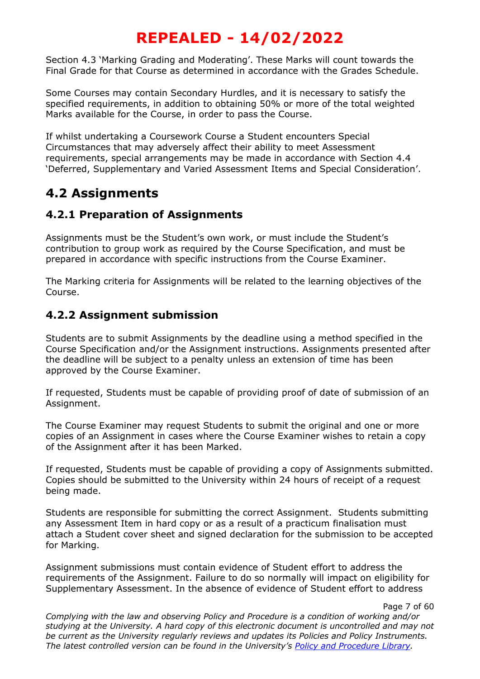Section 4.3 'Marking Grading and Moderating'. These Marks will count towards the Final Grade for that Course as determined in accordance with the Grades Schedule.

Some Courses may contain Secondary Hurdles, and it is necessary to satisfy the specified requirements, in addition to obtaining 50% or more of the total weighted Marks available for the Course, in order to pass the Course.

If whilst undertaking a Coursework Course a Student encounters Special Circumstances that may adversely affect their ability to meet Assessment requirements, special arrangements may be made in accordance with Section 4.4 'Deferred, Supplementary and Varied Assessment Items and Special Consideration'.

### **4.2 Assignments**

#### **4.2.1 Preparation of Assignments**

Assignments must be the Student's own work, or must include the Student's contribution to group work as required by the Course Specification, and must be prepared in accordance with specific instructions from the Course Examiner.

The Marking criteria for Assignments will be related to the learning objectives of the Course.

#### **4.2.2 Assignment submission**

Students are to submit Assignments by the deadline using a method specified in the Course Specification and/or the Assignment instructions. Assignments presented after the deadline will be subject to a penalty unless an extension of time has been approved by the Course Examiner.

If requested, Students must be capable of providing proof of date of submission of an Assignment.

The Course Examiner may request Students to submit the original and one or more copies of an Assignment in cases where the Course Examiner wishes to retain a copy of the Assignment after it has been Marked.

If requested, Students must be capable of providing a copy of Assignments submitted. Copies should be submitted to the University within 24 hours of receipt of a request being made.

Students are responsible for submitting the correct Assignment. Students submitting any Assessment Item in hard copy or as a result of a practicum finalisation must attach a Student cover sheet and signed declaration for the submission to be accepted for Marking.

Assignment submissions must contain evidence of Student effort to address the requirements of the Assignment. Failure to do so normally will impact on eligibility for Supplementary Assessment. In the absence of evidence of Student effort to address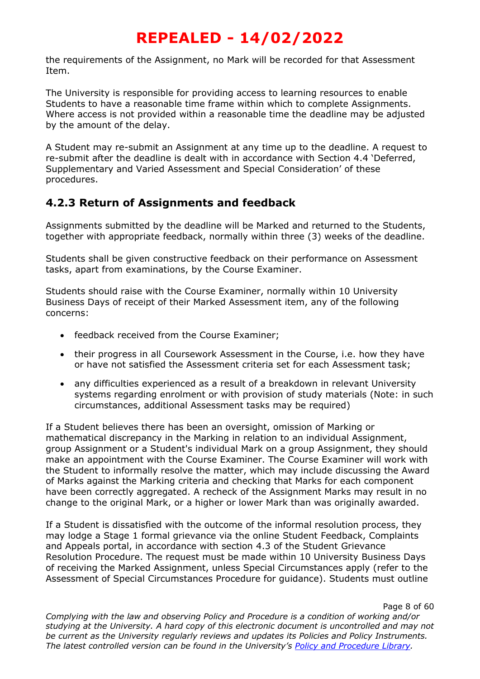the requirements of the Assignment, no Mark will be recorded for that Assessment Item.

The University is responsible for providing access to learning resources to enable Students to have a reasonable time frame within which to complete Assignments. Where access is not provided within a reasonable time the deadline may be adjusted by the amount of the delay.

A Student may re-submit an Assignment at any time up to the deadline. A request to re-submit after the deadline is dealt with in accordance with Section 4.4 'Deferred, Supplementary and Varied Assessment and Special Consideration' of these procedures.

#### **4.2.3 Return of Assignments and feedback**

Assignments submitted by the deadline will be Marked and returned to the Students, together with appropriate feedback, normally within three (3) weeks of the deadline.

Students shall be given constructive feedback on their performance on Assessment tasks, apart from examinations, by the Course Examiner.

Students should raise with the Course Examiner, normally within 10 University Business Days of receipt of their Marked Assessment item, any of the following concerns:

- feedback received from the Course Examiner;
- their progress in all Coursework Assessment in the Course, i.e. how they have or have not satisfied the Assessment criteria set for each Assessment task;
- any difficulties experienced as a result of a breakdown in relevant University systems regarding enrolment or with provision of study materials (Note: in such circumstances, additional Assessment tasks may be required)

If a Student believes there has been an oversight, omission of Marking or mathematical discrepancy in the Marking in relation to an individual Assignment, group Assignment or a Student's individual Mark on a group Assignment, they should make an appointment with the Course Examiner. The Course Examiner will work with the Student to informally resolve the matter, which may include discussing the Award of Marks against the Marking criteria and checking that Marks for each component have been correctly aggregated. A recheck of the Assignment Marks may result in no change to the original Mark, or a higher or lower Mark than was originally awarded.

If a Student is dissatisfied with the outcome of the informal resolution process, they may lodge a Stage 1 formal grievance via the online Student Feedback, Complaints and Appeals portal, in accordance with section 4.3 of the Student Grievance Resolution Procedure. The request must be made within 10 University Business Days of receiving the Marked Assignment, unless Special Circumstances apply (refer to the Assessment of Special Circumstances Procedure for guidance). Students must outline

Page 8 of 60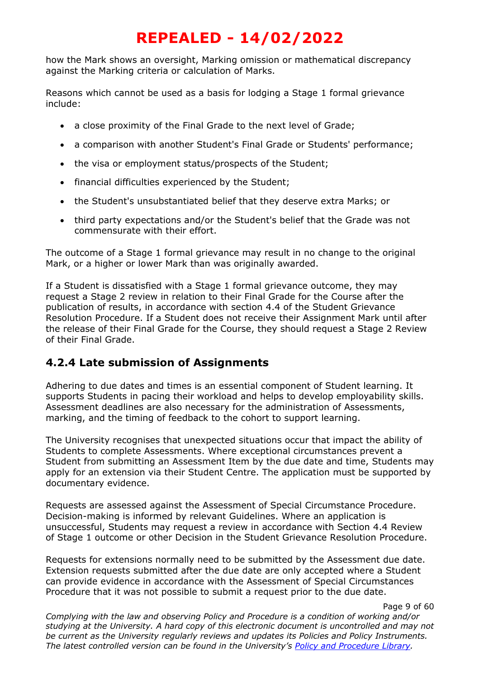how the Mark shows an oversight, Marking omission or mathematical discrepancy against the Marking criteria or calculation of Marks.

Reasons which cannot be used as a basis for lodging a Stage 1 formal grievance include:

- a close proximity of the Final Grade to the next level of Grade;
- a comparison with another Student's Final Grade or Students' performance;
- the visa or employment status/prospects of the Student;
- financial difficulties experienced by the Student;
- the Student's unsubstantiated belief that they deserve extra Marks; or
- third party expectations and/or the Student's belief that the Grade was not commensurate with their effort.

The outcome of a Stage 1 formal grievance may result in no change to the original Mark, or a higher or lower Mark than was originally awarded.

If a Student is dissatisfied with a Stage 1 formal grievance outcome, they may request a Stage 2 review in relation to their Final Grade for the Course after the publication of results, in accordance with section 4.4 of the Student Grievance Resolution Procedure. If a Student does not receive their Assignment Mark until after the release of their Final Grade for the Course, they should request a Stage 2 Review of their Final Grade.

#### **4.2.4 Late submission of Assignments**

Adhering to due dates and times is an essential component of Student learning. It supports Students in pacing their workload and helps to develop employability skills. Assessment deadlines are also necessary for the administration of Assessments, marking, and the timing of feedback to the cohort to support learning.

The University recognises that unexpected situations occur that impact the ability of Students to complete Assessments. Where exceptional circumstances prevent a Student from submitting an Assessment Item by the due date and time, Students may apply for an extension via their Student Centre. The application must be supported by documentary evidence.

Requests are assessed against the Assessment of Special Circumstance Procedure. Decision-making is informed by relevant Guidelines. Where an application is unsuccessful, Students may request a review in accordance with Section 4.4 Review of Stage 1 outcome or other Decision in the Student Grievance Resolution Procedure.

Requests for extensions normally need to be submitted by the Assessment due date. Extension requests submitted after the due date are only accepted where a Student can provide evidence in accordance with the Assessment of Special Circumstances Procedure that it was not possible to submit a request prior to the due date.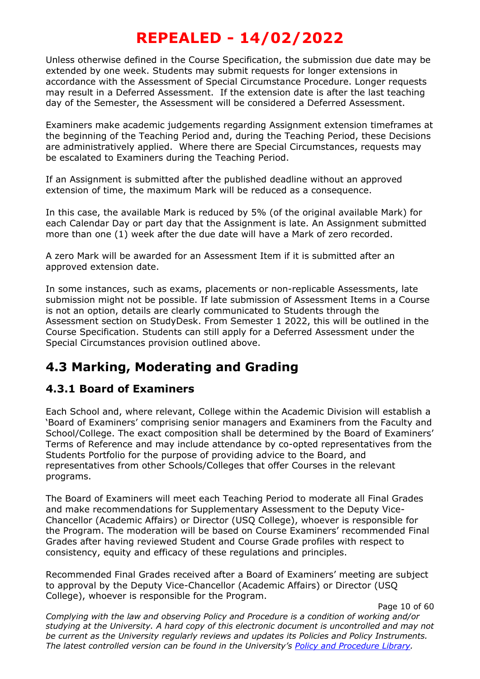Unless otherwise defined in the Course Specification, the submission due date may be extended by one week. Students may submit requests for longer extensions in accordance with the Assessment of Special Circumstance Procedure. Longer requests may result in a Deferred Assessment. If the extension date is after the last teaching day of the Semester, the Assessment will be considered a Deferred Assessment.

Examiners make academic judgements regarding Assignment extension timeframes at the beginning of the Teaching Period and, during the Teaching Period, these Decisions are administratively applied. Where there are Special Circumstances, requests may be escalated to Examiners during the Teaching Period.

If an Assignment is submitted after the published deadline without an approved extension of time, the maximum Mark will be reduced as a consequence.

In this case, the available Mark is reduced by 5% (of the original available Mark) for each Calendar Day or part day that the Assignment is late. An Assignment submitted more than one (1) week after the due date will have a Mark of zero recorded.

A zero Mark will be awarded for an Assessment Item if it is submitted after an approved extension date.

In some instances, such as exams, placements or non-replicable Assessments, late submission might not be possible. If late submission of Assessment Items in a Course is not an option, details are clearly communicated to Students through the Assessment section on StudyDesk. From Semester 1 2022, this will be outlined in the Course Specification. Students can still apply for a Deferred Assessment under the Special Circumstances provision outlined above.

### **4.3 Marking, Moderating and Grading**

### **4.3.1 Board of Examiners**

Each School and, where relevant, College within the Academic Division will establish a 'Board of Examiners' comprising senior managers and Examiners from the Faculty and School/College. The exact composition shall be determined by the Board of Examiners' Terms of Reference and may include attendance by co-opted representatives from the Students Portfolio for the purpose of providing advice to the Board, and representatives from other Schools/Colleges that offer Courses in the relevant programs.

The Board of Examiners will meet each Teaching Period to moderate all Final Grades and make recommendations for Supplementary Assessment to the Deputy Vice-Chancellor (Academic Affairs) or Director (USQ College), whoever is responsible for the Program. The moderation will be based on Course Examiners' recommended Final Grades after having reviewed Student and Course Grade profiles with respect to consistency, equity and efficacy of these regulations and principles.

Recommended Final Grades received after a Board of Examiners' meeting are subject to approval by the Deputy Vice-Chancellor (Academic Affairs) or Director (USQ College), whoever is responsible for the Program.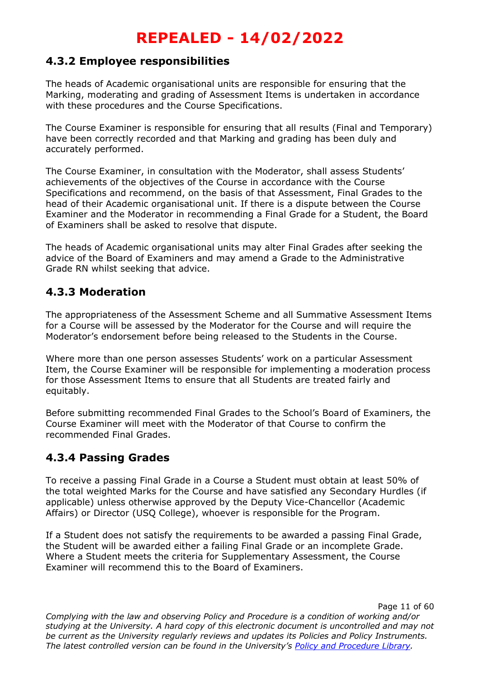#### **4.3.2 Employee responsibilities**

The heads of Academic organisational units are responsible for ensuring that the Marking, moderating and grading of Assessment Items is undertaken in accordance with these procedures and the Course Specifications.

The Course Examiner is responsible for ensuring that all results (Final and Temporary) have been correctly recorded and that Marking and grading has been duly and accurately performed.

The Course Examiner, in consultation with the Moderator, shall assess Students' achievements of the objectives of the Course in accordance with the Course Specifications and recommend, on the basis of that Assessment, Final Grades to the head of their Academic organisational unit. If there is a dispute between the Course Examiner and the Moderator in recommending a Final Grade for a Student, the Board of Examiners shall be asked to resolve that dispute.

The heads of Academic organisational units may alter Final Grades after seeking the advice of the Board of Examiners and may amend a Grade to the Administrative Grade RN whilst seeking that advice.

#### **4.3.3 Moderation**

The appropriateness of the Assessment Scheme and all Summative Assessment Items for a Course will be assessed by the Moderator for the Course and will require the Moderator's endorsement before being released to the Students in the Course.

Where more than one person assesses Students' work on a particular Assessment Item, the Course Examiner will be responsible for implementing a moderation process for those Assessment Items to ensure that all Students are treated fairly and equitably.

Before submitting recommended Final Grades to the School's Board of Examiners, the Course Examiner will meet with the Moderator of that Course to confirm the recommended Final Grades.

#### **4.3.4 Passing Grades**

To receive a passing Final Grade in a Course a Student must obtain at least 50% of the total weighted Marks for the Course and have satisfied any Secondary Hurdles (if applicable) unless otherwise approved by the Deputy Vice-Chancellor (Academic Affairs) or Director (USQ College), whoever is responsible for the Program.

If a Student does not satisfy the requirements to be awarded a passing Final Grade, the Student will be awarded either a failing Final Grade or an incomplete Grade. Where a Student meets the criteria for Supplementary Assessment, the Course Examiner will recommend this to the Board of Examiners.

Page 11 of 60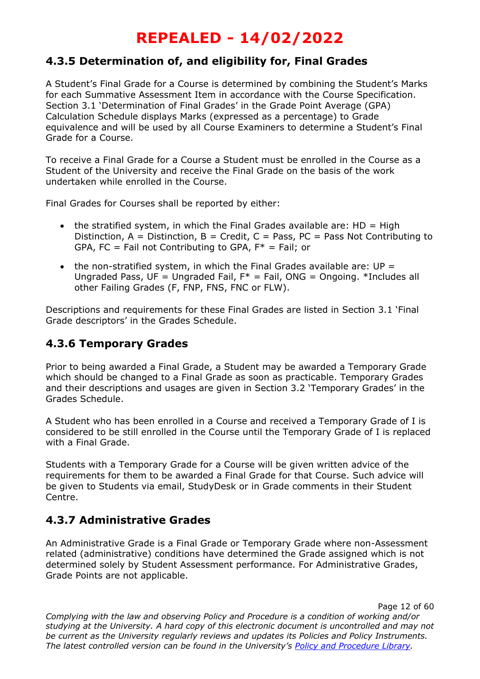#### **4.3.5 Determination of, and eligibility for, Final Grades**

A Student's Final Grade for a Course is determined by combining the Student's Marks for each Summative Assessment Item in accordance with the Course Specification. Section 3.1 'Determination of Final Grades' in the Grade Point Average (GPA) Calculation Schedule displays Marks (expressed as a percentage) to Grade equivalence and will be used by all Course Examiners to determine a Student's Final Grade for a Course.

To receive a Final Grade for a Course a Student must be enrolled in the Course as a Student of the University and receive the Final Grade on the basis of the work undertaken while enrolled in the Course.

Final Grades for Courses shall be reported by either:

- the stratified system, in which the Final Grades available are:  $HD = Hiah$ Distinction,  $A =$  Distinction,  $B =$  Credit,  $C =$  Pass, PC = Pass Not Contributing to GPA, FC = Fail not Contributing to GPA,  $F^*$  = Fail; or
- the non-stratified system, in which the Final Grades available are:  $UP =$ Ungraded Pass, UF = Ungraded Fail,  $F^*$  = Fail, ONG = Ongoing. \*Includes all other Failing Grades (F, FNP, FNS, FNC or FLW).

Descriptions and requirements for these Final Grades are listed in Section 3.1 'Final Grade descriptors' in the Grades Schedule.

### **4.3.6 Temporary Grades**

Prior to being awarded a Final Grade, a Student may be awarded a Temporary Grade which should be changed to a Final Grade as soon as practicable. Temporary Grades and their descriptions and usages are given in Section 3.2 'Temporary Grades' in the Grades Schedule.

A Student who has been enrolled in a Course and received a Temporary Grade of I is considered to be still enrolled in the Course until the Temporary Grade of I is replaced with a Final Grade.

Students with a Temporary Grade for a Course will be given written advice of the requirements for them to be awarded a Final Grade for that Course. Such advice will be given to Students via email, StudyDesk or in Grade comments in their Student Centre.

### **4.3.7 Administrative Grades**

An Administrative Grade is a Final Grade or Temporary Grade where non-Assessment related (administrative) conditions have determined the Grade assigned which is not determined solely by Student Assessment performance. For Administrative Grades, Grade Points are not applicable.

Page 12 of 60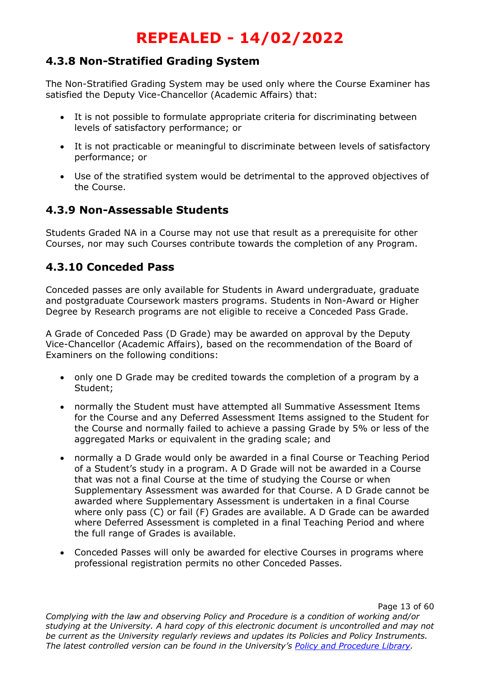#### **4.3.8 Non-Stratified Grading System**

The Non-Stratified Grading System may be used only where the Course Examiner has satisfied the Deputy Vice-Chancellor (Academic Affairs) that:

- It is not possible to formulate appropriate criteria for discriminating between levels of satisfactory performance; or
- It is not practicable or meaningful to discriminate between levels of satisfactory performance; or
- Use of the stratified system would be detrimental to the approved objectives of the Course.

#### **4.3.9 Non-Assessable Students**

Students Graded NA in a Course may not use that result as a prerequisite for other Courses, nor may such Courses contribute towards the completion of any Program.

### **4.3.10 Conceded Pass**

Conceded passes are only available for Students in Award undergraduate, graduate and postgraduate Coursework masters programs. Students in Non-Award or Higher Degree by Research programs are not eligible to receive a Conceded Pass Grade.

A Grade of Conceded Pass (D Grade) may be awarded on approval by the Deputy Vice-Chancellor (Academic Affairs), based on the recommendation of the Board of Examiners on the following conditions:

- only one D Grade may be credited towards the completion of a program by a Student;
- normally the Student must have attempted all Summative Assessment Items for the Course and any Deferred Assessment Items assigned to the Student for the Course and normally failed to achieve a passing Grade by 5% or less of the aggregated Marks or equivalent in the grading scale; and
- normally a D Grade would only be awarded in a final Course or Teaching Period of a Student's study in a program. A D Grade will not be awarded in a Course that was not a final Course at the time of studying the Course or when Supplementary Assessment was awarded for that Course. A D Grade cannot be awarded where Supplementary Assessment is undertaken in a final Course where only pass (C) or fail (F) Grades are available. A D Grade can be awarded where Deferred Assessment is completed in a final Teaching Period and where the full range of Grades is available.
- Conceded Passes will only be awarded for elective Courses in programs where professional registration permits no other Conceded Passes.

Page 13 of 60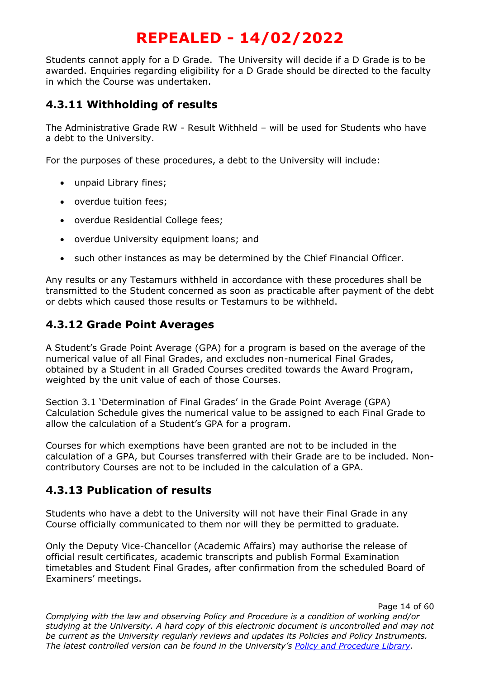Students cannot apply for a D Grade. The University will decide if a D Grade is to be awarded. Enquiries regarding eligibility for a D Grade should be directed to the faculty in which the Course was undertaken.

#### **4.3.11 Withholding of results**

The Administrative Grade RW - Result Withheld – will be used for Students who have a debt to the University.

For the purposes of these procedures, a debt to the University will include:

- unpaid Library fines;
- overdue tuition fees;
- overdue Residential College fees;
- overdue University equipment loans; and
- such other instances as may be determined by the Chief Financial Officer.

Any results or any Testamurs withheld in accordance with these procedures shall be transmitted to the Student concerned as soon as practicable after payment of the debt or debts which caused those results or Testamurs to be withheld.

#### **4.3.12 Grade Point Averages**

A Student's Grade Point Average (GPA) for a program is based on the average of the numerical value of all Final Grades, and excludes non-numerical Final Grades, obtained by a Student in all Graded Courses credited towards the Award Program, weighted by the unit value of each of those Courses.

Section 3.1 'Determination of Final Grades' in the Grade Point Average (GPA) Calculation Schedule gives the numerical value to be assigned to each Final Grade to allow the calculation of a Student's GPA for a program.

Courses for which exemptions have been granted are not to be included in the calculation of a GPA, but Courses transferred with their Grade are to be included. Noncontributory Courses are not to be included in the calculation of a GPA.

#### **4.3.13 Publication of results**

Students who have a debt to the University will not have their Final Grade in any Course officially communicated to them nor will they be permitted to graduate.

Only the Deputy Vice-Chancellor (Academic Affairs) may authorise the release of official result certificates, academic transcripts and publish Formal Examination timetables and Student Final Grades, after confirmation from the scheduled Board of Examiners' meetings.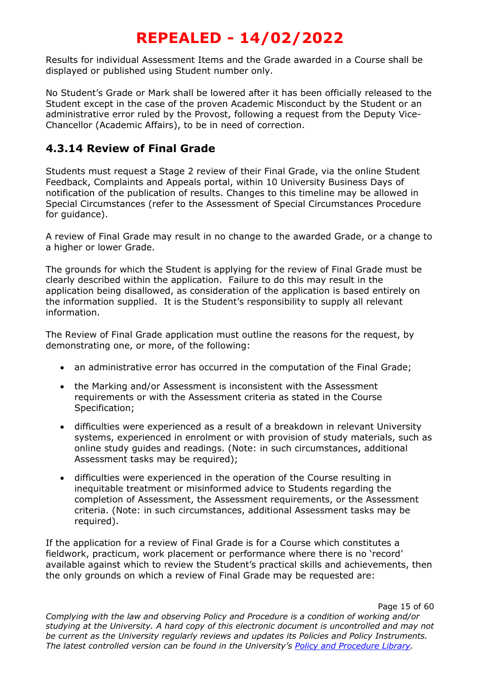Results for individual Assessment Items and the Grade awarded in a Course shall be displayed or published using Student number only.

No Student's Grade or Mark shall be lowered after it has been officially released to the Student except in the case of the proven Academic Misconduct by the Student or an administrative error ruled by the Provost, following a request from the Deputy Vice-Chancellor (Academic Affairs), to be in need of correction.

#### **4.3.14 Review of Final Grade**

Students must request a Stage 2 review of their Final Grade, via the online Student Feedback, Complaints and Appeals portal, within 10 University Business Days of notification of the publication of results. Changes to this timeline may be allowed in Special Circumstances (refer to the Assessment of Special Circumstances Procedure for guidance).

A review of Final Grade may result in no change to the awarded Grade, or a change to a higher or lower Grade.

The grounds for which the Student is applying for the review of Final Grade must be clearly described within the application. Failure to do this may result in the application being disallowed, as consideration of the application is based entirely on the information supplied. It is the Student's responsibility to supply all relevant information.

The Review of Final Grade application must outline the reasons for the request, by demonstrating one, or more, of the following:

- an administrative error has occurred in the computation of the Final Grade;
- the Marking and/or Assessment is inconsistent with the Assessment requirements or with the Assessment criteria as stated in the Course Specification;
- difficulties were experienced as a result of a breakdown in relevant University systems, experienced in enrolment or with provision of study materials, such as online study guides and readings. (Note: in such circumstances, additional Assessment tasks may be required);
- difficulties were experienced in the operation of the Course resulting in inequitable treatment or misinformed advice to Students regarding the completion of Assessment, the Assessment requirements, or the Assessment criteria. (Note: in such circumstances, additional Assessment tasks may be required).

If the application for a review of Final Grade is for a Course which constitutes a fieldwork, practicum, work placement or performance where there is no 'record' available against which to review the Student's practical skills and achievements, then the only grounds on which a review of Final Grade may be requested are:

Page 15 of 60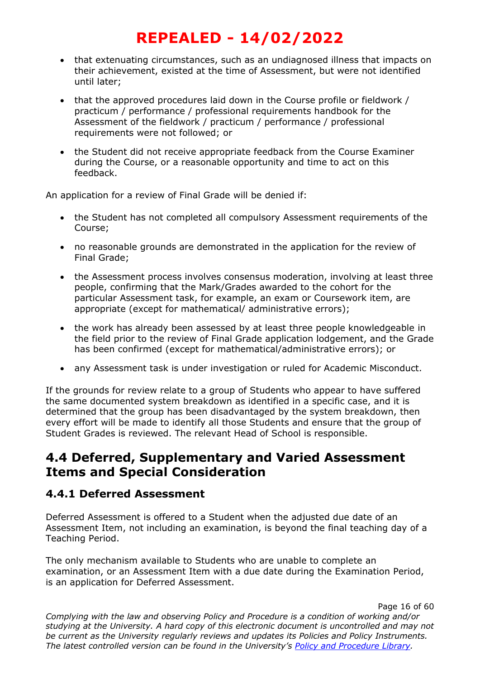- that extenuating circumstances, such as an undiagnosed illness that impacts on their achievement, existed at the time of Assessment, but were not identified until later;
- that the approved procedures laid down in the Course profile or fieldwork / practicum / performance / professional requirements handbook for the Assessment of the fieldwork / practicum / performance / professional requirements were not followed; or
- the Student did not receive appropriate feedback from the Course Examiner during the Course, or a reasonable opportunity and time to act on this feedback.

An application for a review of Final Grade will be denied if:

- the Student has not completed all compulsory Assessment requirements of the Course;
- no reasonable grounds are demonstrated in the application for the review of Final Grade;
- the Assessment process involves consensus moderation, involving at least three people, confirming that the Mark/Grades awarded to the cohort for the particular Assessment task, for example, an exam or Coursework item, are appropriate (except for mathematical/ administrative errors);
- the work has already been assessed by at least three people knowledgeable in the field prior to the review of Final Grade application lodgement, and the Grade has been confirmed (except for mathematical/administrative errors); or
- any Assessment task is under investigation or ruled for Academic Misconduct.

If the grounds for review relate to a group of Students who appear to have suffered the same documented system breakdown as identified in a specific case, and it is determined that the group has been disadvantaged by the system breakdown, then every effort will be made to identify all those Students and ensure that the group of Student Grades is reviewed. The relevant Head of School is responsible.

### **4.4 Deferred, Supplementary and Varied Assessment Items and Special Consideration**

#### **4.4.1 Deferred Assessment**

Deferred Assessment is offered to a Student when the adjusted due date of an Assessment Item, not including an examination, is beyond the final teaching day of a Teaching Period.

The only mechanism available to Students who are unable to complete an examination, or an Assessment Item with a due date during the Examination Period, is an application for Deferred Assessment.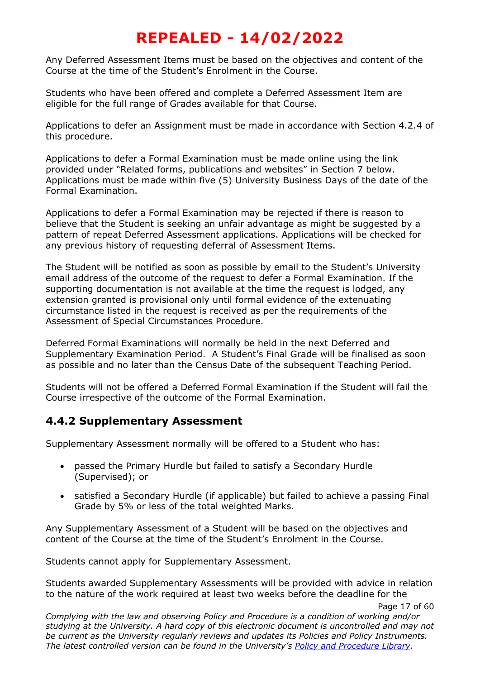Any Deferred Assessment Items must be based on the objectives and content of the Course at the time of the Student's Enrolment in the Course.

Students who have been offered and complete a Deferred Assessment Item are eligible for the full range of Grades available for that Course.

Applications to defer an Assignment must be made in accordance with Section 4.2.4 of this procedure.

Applications to defer a Formal Examination must be made online using the link provided under "Related forms, publications and websites" in Section 7 below. Applications must be made within five (5) University Business Days of the date of the Formal Examination.

Applications to defer a Formal Examination may be rejected if there is reason to believe that the Student is seeking an unfair advantage as might be suggested by a pattern of repeat Deferred Assessment applications. Applications will be checked for any previous history of requesting deferral of Assessment Items.

The Student will be notified as soon as possible by email to the Student's University email address of the outcome of the request to defer a Formal Examination. If the supporting documentation is not available at the time the request is lodged, any extension granted is provisional only until formal evidence of the extenuating circumstance listed in the request is received as per the requirements of the Assessment of Special Circumstances Procedure.

Deferred Formal Examinations will normally be held in the next Deferred and Supplementary Examination Period. A Student's Final Grade will be finalised as soon as possible and no later than the Census Date of the subsequent Teaching Period.

Students will not be offered a Deferred Formal Examination if the Student will fail the Course irrespective of the outcome of the Formal Examination.

#### **4.4.2 Supplementary Assessment**

Supplementary Assessment normally will be offered to a Student who has:

- passed the Primary Hurdle but failed to satisfy a Secondary Hurdle (Supervised); or
- satisfied a Secondary Hurdle (if applicable) but failed to achieve a passing Final Grade by 5% or less of the total weighted Marks.

Any Supplementary Assessment of a Student will be based on the objectives and content of the Course at the time of the Student's Enrolment in the Course.

Students cannot apply for Supplementary Assessment.

Students awarded Supplementary Assessments will be provided with advice in relation to the nature of the work required at least two weeks before the deadline for the

Page 17 of 60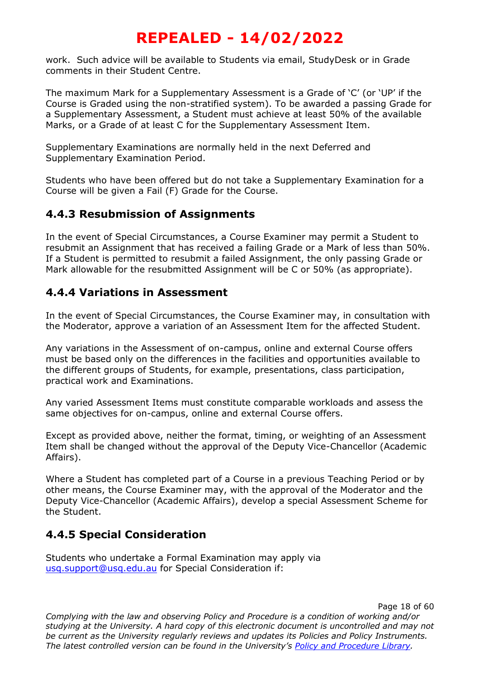work. Such advice will be available to Students via email, StudyDesk or in Grade comments in their Student Centre.

The maximum Mark for a Supplementary Assessment is a Grade of 'C' (or 'UP' if the Course is Graded using the non-stratified system). To be awarded a passing Grade for a Supplementary Assessment, a Student must achieve at least 50% of the available Marks, or a Grade of at least C for the Supplementary Assessment Item.

Supplementary Examinations are normally held in the next Deferred and Supplementary Examination Period.

Students who have been offered but do not take a Supplementary Examination for a Course will be given a Fail (F) Grade for the Course.

#### **4.4.3 Resubmission of Assignments**

In the event of Special Circumstances, a Course Examiner may permit a Student to resubmit an Assignment that has received a failing Grade or a Mark of less than 50%. If a Student is permitted to resubmit a failed Assignment, the only passing Grade or Mark allowable for the resubmitted Assignment will be C or 50% (as appropriate).

#### **4.4.4 Variations in Assessment**

In the event of Special Circumstances, the Course Examiner may, in consultation with the Moderator, approve a variation of an Assessment Item for the affected Student.

Any variations in the Assessment of on-campus, online and external Course offers must be based only on the differences in the facilities and opportunities available to the different groups of Students, for example, presentations, class participation, practical work and Examinations.

Any varied Assessment Items must constitute comparable workloads and assess the same objectives for on-campus, online and external Course offers.

Except as provided above, neither the format, timing, or weighting of an Assessment Item shall be changed without the approval of the Deputy Vice-Chancellor (Academic Affairs).

Where a Student has completed part of a Course in a previous Teaching Period or by other means, the Course Examiner may, with the approval of the Moderator and the Deputy Vice-Chancellor (Academic Affairs), develop a special Assessment Scheme for the Student.

#### **4.4.5 Special Consideration**

Students who undertake a Formal Examination may apply via [usq.support@usq.edu.au](mailto:usq.support@usq.edu.au) for Special Consideration if:

Page 18 of 60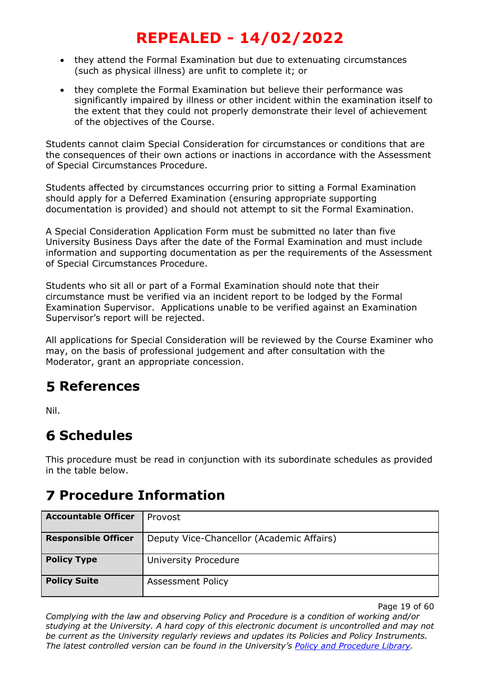- they attend the Formal Examination but due to extenuating circumstances (such as physical illness) are unfit to complete it; or
- they complete the Formal Examination but believe their performance was significantly impaired by illness or other incident within the examination itself to the extent that they could not properly demonstrate their level of achievement of the objectives of the Course.

Students cannot claim Special Consideration for circumstances or conditions that are the consequences of their own actions or inactions in accordance with the Assessment of Special Circumstances Procedure.

Students affected by circumstances occurring prior to sitting a Formal Examination should apply for a Deferred Examination (ensuring appropriate supporting documentation is provided) and should not attempt to sit the Formal Examination.

A Special Consideration Application Form must be submitted no later than five University Business Days after the date of the Formal Examination and must include information and supporting documentation as per the requirements of the Assessment of Special Circumstances Procedure.

Students who sit all or part of a Formal Examination should note that their circumstance must be verified via an incident report to be lodged by the Formal Examination Supervisor. Applications unable to be verified against an Examination Supervisor's report will be rejected.

All applications for Special Consideration will be reviewed by the Course Examiner who may, on the basis of professional judgement and after consultation with the Moderator, grant an appropriate concession.

### **References**

Nil.

### **Schedules**

This procedure must be read in conjunction with its subordinate schedules as provided in the table below.

### **Procedure Information**

| <b>Accountable Officer</b> | Provost                                   |
|----------------------------|-------------------------------------------|
| <b>Responsible Officer</b> | Deputy Vice-Chancellor (Academic Affairs) |
| <b>Policy Type</b>         | University Procedure                      |
| <b>Policy Suite</b>        | <b>Assessment Policy</b>                  |

Page 19 of 60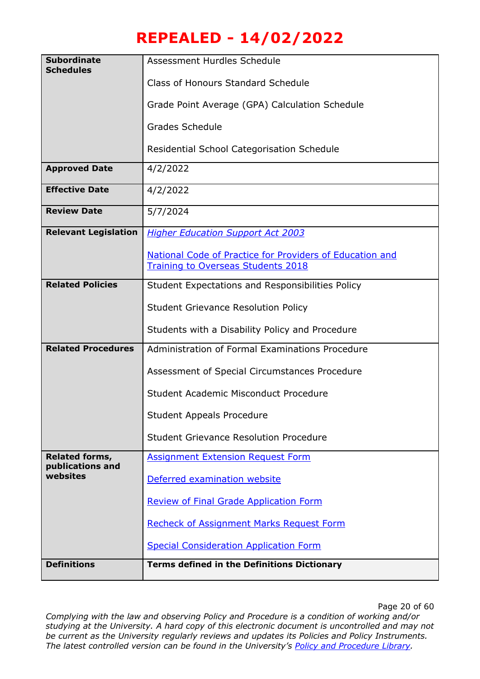| <b>Schedules</b><br><b>Class of Honours Standard Schedule</b><br>Grade Point Average (GPA) Calculation Schedule<br><b>Grades Schedule</b><br>Residential School Categorisation Schedule<br><b>Approved Date</b><br>4/2/2022<br><b>Effective Date</b><br>4/2/2022<br>5/7/2024<br><b>Review Date</b><br><b>Relevant Legislation</b><br><b>Higher Education Support Act 2003</b><br>National Code of Practice for Providers of Education and<br>Training to Overseas Students 2018<br><b>Related Policies</b><br>Student Expectations and Responsibilities Policy<br><b>Student Grievance Resolution Policy</b><br>Students with a Disability Policy and Procedure<br><b>Related Procedures</b><br>Administration of Formal Examinations Procedure<br>Assessment of Special Circumstances Procedure<br>Student Academic Misconduct Procedure<br><b>Student Appeals Procedure</b><br><b>Student Grievance Resolution Procedure</b><br><b>Related forms,</b><br><b>Assignment Extension Request Form</b><br>publications and<br>websites<br>Deferred examination website<br><b>Review of Final Grade Application Form</b><br><b>Recheck of Assignment Marks Request Form</b><br><b>Special Consideration Application Form</b><br><b>Definitions</b><br><b>Terms defined in the Definitions Dictionary</b> |                    |                             |
|------------------------------------------------------------------------------------------------------------------------------------------------------------------------------------------------------------------------------------------------------------------------------------------------------------------------------------------------------------------------------------------------------------------------------------------------------------------------------------------------------------------------------------------------------------------------------------------------------------------------------------------------------------------------------------------------------------------------------------------------------------------------------------------------------------------------------------------------------------------------------------------------------------------------------------------------------------------------------------------------------------------------------------------------------------------------------------------------------------------------------------------------------------------------------------------------------------------------------------------------------------------------------------------------------|--------------------|-----------------------------|
|                                                                                                                                                                                                                                                                                                                                                                                                                                                                                                                                                                                                                                                                                                                                                                                                                                                                                                                                                                                                                                                                                                                                                                                                                                                                                                      | <b>Subordinate</b> | Assessment Hurdles Schedule |
|                                                                                                                                                                                                                                                                                                                                                                                                                                                                                                                                                                                                                                                                                                                                                                                                                                                                                                                                                                                                                                                                                                                                                                                                                                                                                                      |                    |                             |
|                                                                                                                                                                                                                                                                                                                                                                                                                                                                                                                                                                                                                                                                                                                                                                                                                                                                                                                                                                                                                                                                                                                                                                                                                                                                                                      |                    |                             |
|                                                                                                                                                                                                                                                                                                                                                                                                                                                                                                                                                                                                                                                                                                                                                                                                                                                                                                                                                                                                                                                                                                                                                                                                                                                                                                      |                    |                             |
|                                                                                                                                                                                                                                                                                                                                                                                                                                                                                                                                                                                                                                                                                                                                                                                                                                                                                                                                                                                                                                                                                                                                                                                                                                                                                                      |                    |                             |
|                                                                                                                                                                                                                                                                                                                                                                                                                                                                                                                                                                                                                                                                                                                                                                                                                                                                                                                                                                                                                                                                                                                                                                                                                                                                                                      |                    |                             |
|                                                                                                                                                                                                                                                                                                                                                                                                                                                                                                                                                                                                                                                                                                                                                                                                                                                                                                                                                                                                                                                                                                                                                                                                                                                                                                      |                    |                             |
|                                                                                                                                                                                                                                                                                                                                                                                                                                                                                                                                                                                                                                                                                                                                                                                                                                                                                                                                                                                                                                                                                                                                                                                                                                                                                                      |                    |                             |
|                                                                                                                                                                                                                                                                                                                                                                                                                                                                                                                                                                                                                                                                                                                                                                                                                                                                                                                                                                                                                                                                                                                                                                                                                                                                                                      |                    |                             |
|                                                                                                                                                                                                                                                                                                                                                                                                                                                                                                                                                                                                                                                                                                                                                                                                                                                                                                                                                                                                                                                                                                                                                                                                                                                                                                      |                    |                             |
|                                                                                                                                                                                                                                                                                                                                                                                                                                                                                                                                                                                                                                                                                                                                                                                                                                                                                                                                                                                                                                                                                                                                                                                                                                                                                                      |                    |                             |
|                                                                                                                                                                                                                                                                                                                                                                                                                                                                                                                                                                                                                                                                                                                                                                                                                                                                                                                                                                                                                                                                                                                                                                                                                                                                                                      |                    |                             |
|                                                                                                                                                                                                                                                                                                                                                                                                                                                                                                                                                                                                                                                                                                                                                                                                                                                                                                                                                                                                                                                                                                                                                                                                                                                                                                      |                    |                             |
|                                                                                                                                                                                                                                                                                                                                                                                                                                                                                                                                                                                                                                                                                                                                                                                                                                                                                                                                                                                                                                                                                                                                                                                                                                                                                                      |                    |                             |
|                                                                                                                                                                                                                                                                                                                                                                                                                                                                                                                                                                                                                                                                                                                                                                                                                                                                                                                                                                                                                                                                                                                                                                                                                                                                                                      |                    |                             |
|                                                                                                                                                                                                                                                                                                                                                                                                                                                                                                                                                                                                                                                                                                                                                                                                                                                                                                                                                                                                                                                                                                                                                                                                                                                                                                      |                    |                             |
|                                                                                                                                                                                                                                                                                                                                                                                                                                                                                                                                                                                                                                                                                                                                                                                                                                                                                                                                                                                                                                                                                                                                                                                                                                                                                                      |                    |                             |
|                                                                                                                                                                                                                                                                                                                                                                                                                                                                                                                                                                                                                                                                                                                                                                                                                                                                                                                                                                                                                                                                                                                                                                                                                                                                                                      |                    |                             |
|                                                                                                                                                                                                                                                                                                                                                                                                                                                                                                                                                                                                                                                                                                                                                                                                                                                                                                                                                                                                                                                                                                                                                                                                                                                                                                      |                    |                             |
|                                                                                                                                                                                                                                                                                                                                                                                                                                                                                                                                                                                                                                                                                                                                                                                                                                                                                                                                                                                                                                                                                                                                                                                                                                                                                                      |                    |                             |
|                                                                                                                                                                                                                                                                                                                                                                                                                                                                                                                                                                                                                                                                                                                                                                                                                                                                                                                                                                                                                                                                                                                                                                                                                                                                                                      |                    |                             |
|                                                                                                                                                                                                                                                                                                                                                                                                                                                                                                                                                                                                                                                                                                                                                                                                                                                                                                                                                                                                                                                                                                                                                                                                                                                                                                      |                    |                             |
|                                                                                                                                                                                                                                                                                                                                                                                                                                                                                                                                                                                                                                                                                                                                                                                                                                                                                                                                                                                                                                                                                                                                                                                                                                                                                                      |                    |                             |
|                                                                                                                                                                                                                                                                                                                                                                                                                                                                                                                                                                                                                                                                                                                                                                                                                                                                                                                                                                                                                                                                                                                                                                                                                                                                                                      |                    |                             |
|                                                                                                                                                                                                                                                                                                                                                                                                                                                                                                                                                                                                                                                                                                                                                                                                                                                                                                                                                                                                                                                                                                                                                                                                                                                                                                      |                    |                             |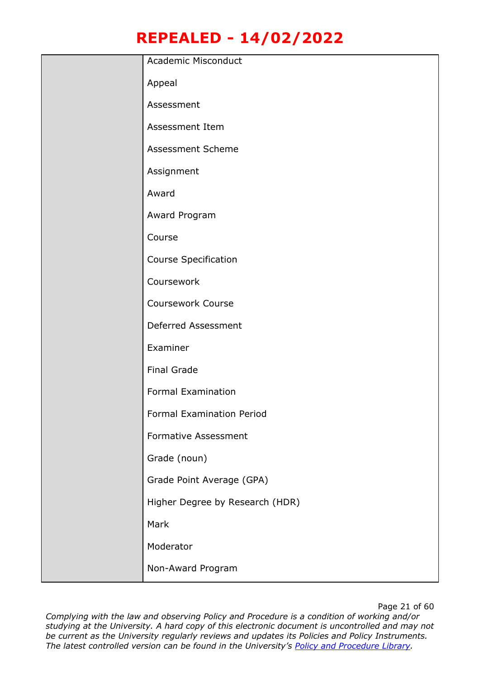| Academic Misconduct             |
|---------------------------------|
| Appeal                          |
| Assessment                      |
| Assessment Item                 |
| Assessment Scheme               |
| Assignment                      |
| Award                           |
| Award Program                   |
| Course                          |
| <b>Course Specification</b>     |
| Coursework                      |
| <b>Coursework Course</b>        |
| Deferred Assessment             |
| Examiner                        |
| <b>Final Grade</b>              |
| Formal Examination              |
| Formal Examination Period       |
| Formative Assessment            |
| Grade (noun)                    |
| Grade Point Average (GPA)       |
| Higher Degree by Research (HDR) |
| Mark                            |
| Moderator                       |
| Non-Award Program               |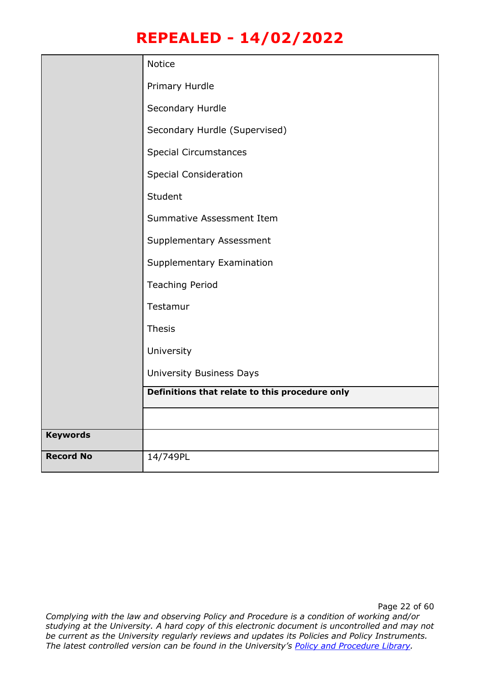|                  | Notice                                         |
|------------------|------------------------------------------------|
|                  | Primary Hurdle                                 |
|                  | Secondary Hurdle                               |
|                  | Secondary Hurdle (Supervised)                  |
|                  | <b>Special Circumstances</b>                   |
|                  | <b>Special Consideration</b>                   |
|                  | Student                                        |
|                  | Summative Assessment Item                      |
|                  | Supplementary Assessment                       |
|                  | Supplementary Examination                      |
|                  | <b>Teaching Period</b>                         |
|                  | Testamur                                       |
|                  | <b>Thesis</b>                                  |
|                  | University                                     |
|                  | <b>University Business Days</b>                |
|                  | Definitions that relate to this procedure only |
|                  |                                                |
| <b>Keywords</b>  |                                                |
| <b>Record No</b> | 14/749PL                                       |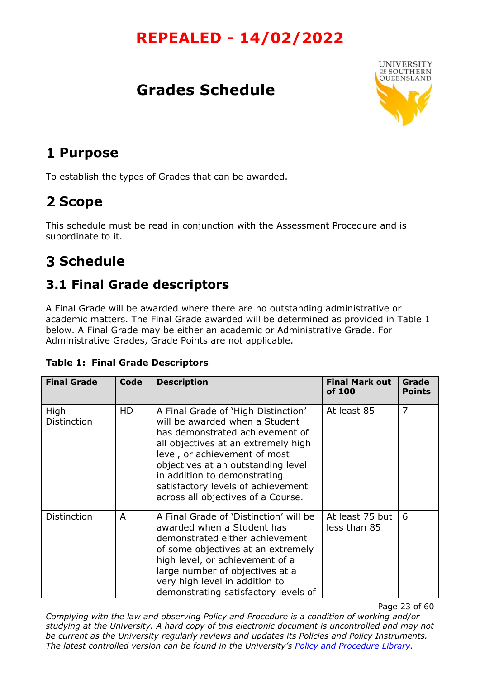# **Grades Schedule**



## <span id="page-22-0"></span>**Purpose**

To establish the types of Grades that can be awarded.

# **Scope**

This schedule must be read in conjunction with the Assessment Procedure and is subordinate to it.

# **Schedule**

### **3.1 Final Grade descriptors**

A Final Grade will be awarded where there are no outstanding administrative or academic matters. The Final Grade awarded will be determined as provided in Table 1 below. A Final Grade may be either an academic or Administrative Grade. For Administrative Grades, Grade Points are not applicable.

|  |  |  |  | <b>Table 1: Final Grade Descriptors</b> |
|--|--|--|--|-----------------------------------------|
|--|--|--|--|-----------------------------------------|

| <b>Final Grade</b>         | Code | <b>Description</b>                                                                                                                                                                                                                                                                                                                 | <b>Final Mark out</b><br>of 100 | Grade<br><b>Points</b> |
|----------------------------|------|------------------------------------------------------------------------------------------------------------------------------------------------------------------------------------------------------------------------------------------------------------------------------------------------------------------------------------|---------------------------------|------------------------|
| High<br><b>Distinction</b> | HD   | A Final Grade of 'High Distinction'<br>will be awarded when a Student<br>has demonstrated achievement of<br>all objectives at an extremely high<br>level, or achievement of most<br>objectives at an outstanding level<br>in addition to demonstrating<br>satisfactory levels of achievement<br>across all objectives of a Course. | At least 85                     | 7                      |
| Distinction                | A    | A Final Grade of 'Distinction' will be<br>awarded when a Student has<br>demonstrated either achievement<br>of some objectives at an extremely<br>high level, or achievement of a<br>large number of objectives at a<br>very high level in addition to<br>demonstrating satisfactory levels of                                      | At least 75 but<br>less than 85 | 6                      |

Page 23 of 60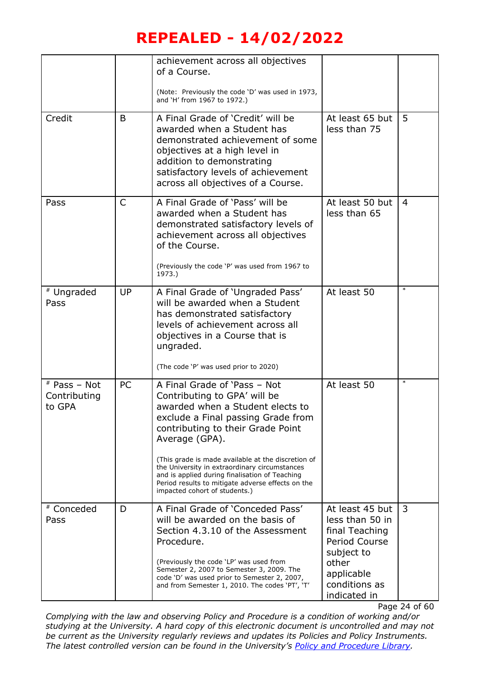|                                          |              | achievement across all objectives<br>of a Course.<br>(Note: Previously the code 'D' was used in 1973,<br>and 'H' from 1967 to 1972.)                                                                                                                                                                                                                                                                                                         |                                                                                                                                             |        |
|------------------------------------------|--------------|----------------------------------------------------------------------------------------------------------------------------------------------------------------------------------------------------------------------------------------------------------------------------------------------------------------------------------------------------------------------------------------------------------------------------------------------|---------------------------------------------------------------------------------------------------------------------------------------------|--------|
| Credit                                   | B            | A Final Grade of 'Credit' will be<br>awarded when a Student has<br>demonstrated achievement of some<br>objectives at a high level in<br>addition to demonstrating<br>satisfactory levels of achievement<br>across all objectives of a Course.                                                                                                                                                                                                | At least 65 but<br>less than 75                                                                                                             | 5      |
| Pass                                     | $\mathsf{C}$ | A Final Grade of 'Pass' will be<br>awarded when a Student has<br>demonstrated satisfactory levels of<br>achievement across all objectives<br>of the Course.<br>(Previously the code 'P' was used from 1967 to<br>1973.)                                                                                                                                                                                                                      | At least 50 but<br>less than 65                                                                                                             | 4      |
| # Ungraded<br>Pass                       | <b>UP</b>    | A Final Grade of 'Ungraded Pass'<br>will be awarded when a Student<br>has demonstrated satisfactory<br>levels of achievement across all<br>objectives in a Course that is<br>ungraded.<br>(The code 'P' was used prior to 2020)                                                                                                                                                                                                              | At least 50                                                                                                                                 | $\ast$ |
| $*$ Pass – Not<br>Contributing<br>to GPA | PC           | A Final Grade of 'Pass - Not<br>Contributing to GPA' will be<br>awarded when a Student elects to<br>exclude a Final passing Grade from<br>contributing to their Grade Point<br>Average (GPA).<br>(This grade is made available at the discretion of<br>the University in extraordinary circumstances<br>and is applied during finalisation of Teaching<br>Period results to mitigate adverse effects on the<br>impacted cohort of students.) | At least 50                                                                                                                                 | $\ast$ |
| # Conceded<br>Pass                       | D            | A Final Grade of 'Conceded Pass'<br>will be awarded on the basis of<br>Section 4.3.10 of the Assessment<br>Procedure.<br>(Previously the code 'LP' was used from<br>Semester 2, 2007 to Semester 3, 2009. The<br>code 'D' was used prior to Semester 2, 2007,<br>and from Semester 1, 2010. The codes 'PT', 'T'                                                                                                                              | At least 45 but<br>less than 50 in<br>final Teaching<br>Period Course<br>subject to<br>other<br>applicable<br>conditions as<br>indicated in | 3      |

Page 24 of 60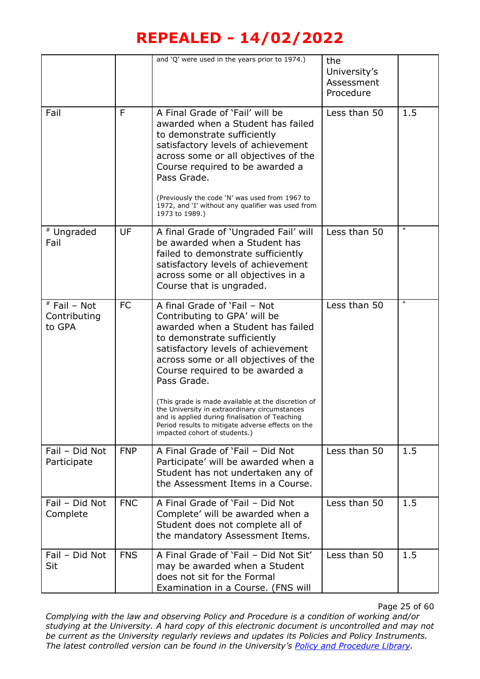|                                          |            | and 'Q' were used in the years prior to 1974.)                                                                                                                                                                                                                                                                                                               | the<br>University's<br>Assessment<br>Procedure |        |
|------------------------------------------|------------|--------------------------------------------------------------------------------------------------------------------------------------------------------------------------------------------------------------------------------------------------------------------------------------------------------------------------------------------------------------|------------------------------------------------|--------|
| Fail                                     | F          | A Final Grade of 'Fail' will be<br>awarded when a Student has failed<br>to demonstrate sufficiently<br>satisfactory levels of achievement<br>across some or all objectives of the<br>Course required to be awarded a<br>Pass Grade.<br>(Previously the code 'N' was used from 1967 to<br>1972, and 'I' without any qualifier was used from<br>1973 to 1989.) | Less than 50                                   | 1.5    |
| # Ungraded<br>Fail                       | <b>UF</b>  | A final Grade of 'Ungraded Fail' will<br>be awarded when a Student has<br>failed to demonstrate sufficiently<br>satisfactory levels of achievement<br>across some or all objectives in a<br>Course that is ungraded.                                                                                                                                         | Less than 50                                   | $\ast$ |
| $#$ Fail - Not<br>Contributing<br>to GPA | <b>FC</b>  | A final Grade of 'Fail - Not<br>Contributing to GPA' will be<br>awarded when a Student has failed<br>to demonstrate sufficiently<br>satisfactory levels of achievement<br>across some or all objectives of the<br>Course required to be awarded a<br>Pass Grade.                                                                                             | Less than 50                                   | $\ast$ |
|                                          |            | (This grade is made available at the discretion of<br>the University in extraordinary circumstances<br>and is applied during finalisation of Teaching<br>Period results to mitigate adverse effects on the<br>impacted cohort of students.)                                                                                                                  |                                                |        |
| Fail - Did Not<br>Participate            | <b>FNP</b> | A Final Grade of 'Fail - Did Not<br>Participate' will be awarded when a<br>Student has not undertaken any of<br>the Assessment Items in a Course.                                                                                                                                                                                                            | Less than 50                                   | 1.5    |
| Fail - Did Not<br>Complete               | <b>FNC</b> | A Final Grade of 'Fail - Did Not<br>Complete' will be awarded when a<br>Student does not complete all of<br>the mandatory Assessment Items.                                                                                                                                                                                                                  | Less than 50                                   | 1.5    |
| Fail - Did Not<br>Sit                    | <b>FNS</b> | A Final Grade of 'Fail - Did Not Sit'<br>may be awarded when a Student<br>does not sit for the Formal<br>Examination in a Course. (FNS will                                                                                                                                                                                                                  | Less than 50                                   | 1.5    |

Page 25 of 60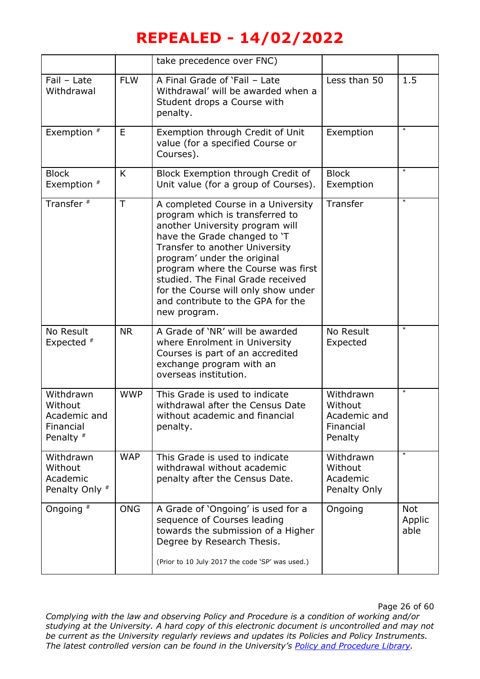|                                                                  |                   | take precedence over FNC)                                                                                                                                                                                                                                                                                                                                                        |                                                              |                              |
|------------------------------------------------------------------|-------------------|----------------------------------------------------------------------------------------------------------------------------------------------------------------------------------------------------------------------------------------------------------------------------------------------------------------------------------------------------------------------------------|--------------------------------------------------------------|------------------------------|
| Fail - Late<br>Withdrawal                                        | <b>FLW</b>        | A Final Grade of 'Fail - Late<br>Withdrawal' will be awarded when a<br>Student drops a Course with<br>penalty.                                                                                                                                                                                                                                                                   | Less than 50                                                 | 1.5                          |
| Exemption $*$                                                    | E                 | Exemption through Credit of Unit<br>value (for a specified Course or<br>Courses).                                                                                                                                                                                                                                                                                                | Exemption                                                    | $\ast$                       |
| <b>Block</b><br>Exemption #                                      | K                 | Block Exemption through Credit of<br>Unit value (for a group of Courses).                                                                                                                                                                                                                                                                                                        | <b>Block</b><br>Exemption                                    | $\ast$                       |
| Transfer <sup>#</sup>                                            | $\overline{\top}$ | A completed Course in a University<br>program which is transferred to<br>another University program will<br>have the Grade changed to 'T<br>Transfer to another University<br>program' under the original<br>program where the Course was first<br>studied. The Final Grade received<br>for the Course will only show under<br>and contribute to the GPA for the<br>new program. | Transfer                                                     | $\ast$                       |
| No Result<br>Expected #                                          | <b>NR</b>         | A Grade of 'NR' will be awarded<br>where Enrolment in University<br>Courses is part of an accredited<br>exchange program with an<br>overseas institution.                                                                                                                                                                                                                        | No Result<br>Expected                                        | $\ast$                       |
| Withdrawn<br>Without<br>Academic and<br>Financial<br>Penalty $*$ | <b>WWP</b>        | This Grade is used to indicate<br>withdrawal after the Census Date<br>without academic and financial<br>penalty.                                                                                                                                                                                                                                                                 | Withdrawn<br>Without<br>Academic and<br>Financial<br>Penalty | $\ast$                       |
| Withdrawn<br>Without<br>Academic<br>Penalty Only #               | <b>WAP</b>        | This Grade is used to indicate<br>withdrawal without academic<br>penalty after the Census Date.                                                                                                                                                                                                                                                                                  | Withdrawn<br>Without<br>Academic<br>Penalty Only             | $\ast$                       |
| Ongoing #                                                        | <b>ONG</b>        | A Grade of 'Ongoing' is used for a<br>sequence of Courses leading<br>towards the submission of a Higher<br>Degree by Research Thesis.                                                                                                                                                                                                                                            | Ongoing                                                      | <b>Not</b><br>Applic<br>able |
|                                                                  |                   | (Prior to 10 July 2017 the code 'SP' was used.)                                                                                                                                                                                                                                                                                                                                  |                                                              |                              |

Page 26 of 60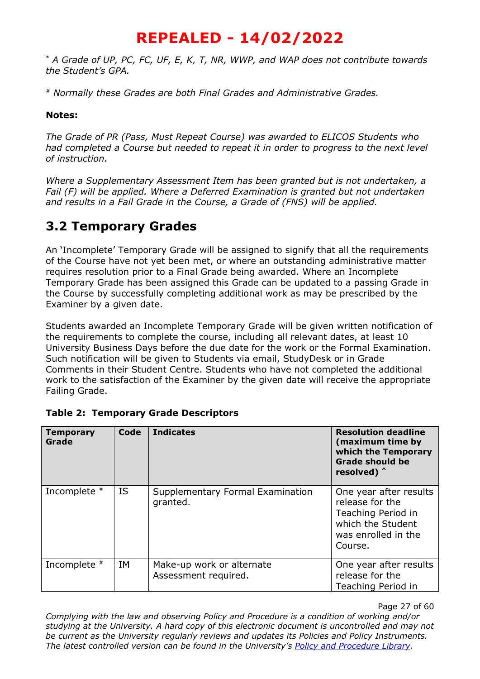\* *A Grade of UP, PC, FC, UF, E, K, T, NR, WWP, and WAP does not contribute towards the Student's GPA.* 

# *Normally these Grades are both Final Grades and Administrative Grades.*

#### **Notes:**

*The Grade of PR (Pass, Must Repeat Course) was awarded to ELICOS Students who had completed a Course but needed to repeat it in order to progress to the next level of instruction.*

*Where a Supplementary Assessment Item has been granted but is not undertaken, a Fail (F) will be applied. Where a Deferred Examination is granted but not undertaken and results in a Fail Grade in the Course, a Grade of (FNS) will be applied.*

### **3.2 Temporary Grades**

An 'Incomplete' Temporary Grade will be assigned to signify that all the requirements of the Course have not yet been met, or where an outstanding administrative matter requires resolution prior to a Final Grade being awarded. Where an Incomplete Temporary Grade has been assigned this Grade can be updated to a passing Grade in the Course by successfully completing additional work as may be prescribed by the Examiner by a given date.

Students awarded an Incomplete Temporary Grade will be given written notification of the requirements to complete the course, including all relevant dates, at least 10 University Business Days before the due date for the work or the Formal Examination. Such notification will be given to Students via email, StudyDesk or in Grade Comments in their Student Centre. Students who have not completed the additional work to the satisfaction of the Examiner by the given date will receive the appropriate Failing Grade.

| <b>Temporary</b><br>Grade | Code | <b>Indicates</b>                                  | <b>Resolution deadline</b><br>(maximum time by<br>which the Temporary<br><b>Grade should be</b><br>resolved) ^         |
|---------------------------|------|---------------------------------------------------|------------------------------------------------------------------------------------------------------------------------|
| Incomplete $*$            | IS.  | Supplementary Formal Examination<br>granted.      | One year after results<br>release for the<br>Teaching Period in<br>which the Student<br>was enrolled in the<br>Course. |
| Incomplete $*$            | IΜ   | Make-up work or alternate<br>Assessment required. | One year after results<br>release for the<br>Teaching Period in                                                        |

#### **Table 2: Temporary Grade Descriptors**

Page 27 of 60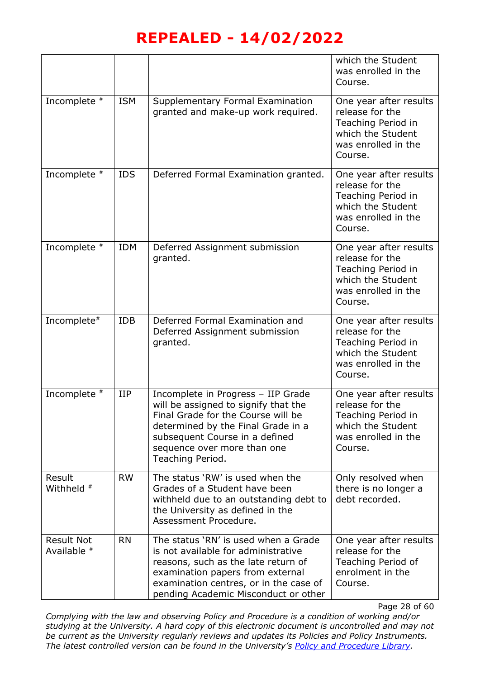|                                  |            |                                                                                                                                                                                                                                             | which the Student<br>was enrolled in the<br>Course.                                                                    |
|----------------------------------|------------|---------------------------------------------------------------------------------------------------------------------------------------------------------------------------------------------------------------------------------------------|------------------------------------------------------------------------------------------------------------------------|
| Incomplete #                     | <b>ISM</b> | Supplementary Formal Examination<br>granted and make-up work required.                                                                                                                                                                      | One year after results<br>release for the<br>Teaching Period in<br>which the Student<br>was enrolled in the<br>Course. |
| Incomplete #                     | <b>IDS</b> | Deferred Formal Examination granted.                                                                                                                                                                                                        | One year after results<br>release for the<br>Teaching Period in<br>which the Student<br>was enrolled in the<br>Course. |
| Incomplete #                     | <b>IDM</b> | Deferred Assignment submission<br>granted.                                                                                                                                                                                                  | One year after results<br>release for the<br>Teaching Period in<br>which the Student<br>was enrolled in the<br>Course. |
| Incomplete#                      | <b>IDB</b> | Deferred Formal Examination and<br>Deferred Assignment submission<br>granted.                                                                                                                                                               | One year after results<br>release for the<br>Teaching Period in<br>which the Student<br>was enrolled in the<br>Course. |
| Incomplete #                     | <b>IIP</b> | Incomplete in Progress - IIP Grade<br>will be assigned to signify that the<br>Final Grade for the Course will be<br>determined by the Final Grade in a<br>subsequent Course in a defined<br>sequence over more than one<br>Teaching Period. | One year after results<br>release for the<br>Teaching Period in<br>which the Student<br>was enrolled in the<br>Course. |
| Result<br>Withheld #             | <b>RW</b>  | The status 'RW' is used when the<br>Grades of a Student have been<br>withheld due to an outstanding debt to<br>the University as defined in the<br>Assessment Procedure.                                                                    | Only resolved when<br>there is no longer a<br>debt recorded.                                                           |
| <b>Result Not</b><br>Available # | <b>RN</b>  | The status 'RN' is used when a Grade<br>is not available for administrative<br>reasons, such as the late return of<br>examination papers from external<br>examination centres, or in the case of<br>pending Academic Misconduct or other    | One year after results<br>release for the<br>Teaching Period of<br>enrolment in the<br>Course.                         |

Page 28 of 60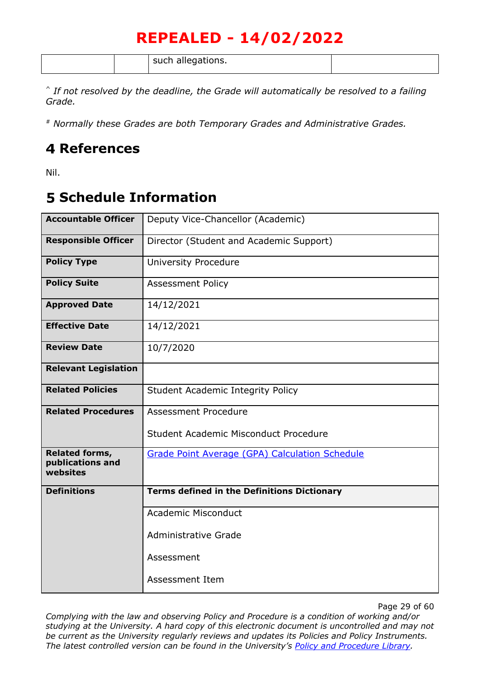|  | I such allegations. |  |
|--|---------------------|--|
|  |                     |  |

^ *If not resolved by the deadline, the Grade will automatically be resolved to a failing Grade.* 

# *Normally these Grades are both Temporary Grades and Administrative Grades.*

### **References**

Nil.

### **Schedule Information**

| <b>Accountable Officer</b>                            | Deputy Vice-Chancellor (Academic)                     |
|-------------------------------------------------------|-------------------------------------------------------|
| <b>Responsible Officer</b>                            | Director (Student and Academic Support)               |
| <b>Policy Type</b>                                    | <b>University Procedure</b>                           |
| <b>Policy Suite</b>                                   | <b>Assessment Policy</b>                              |
| <b>Approved Date</b>                                  | 14/12/2021                                            |
| <b>Effective Date</b>                                 | 14/12/2021                                            |
| <b>Review Date</b>                                    | 10/7/2020                                             |
| <b>Relevant Legislation</b>                           |                                                       |
| <b>Related Policies</b>                               | <b>Student Academic Integrity Policy</b>              |
| <b>Related Procedures</b>                             | <b>Assessment Procedure</b>                           |
|                                                       | Student Academic Misconduct Procedure                 |
| <b>Related forms,</b><br>publications and<br>websites | <b>Grade Point Average (GPA) Calculation Schedule</b> |
| <b>Definitions</b>                                    | <b>Terms defined in the Definitions Dictionary</b>    |
|                                                       | <b>Academic Misconduct</b>                            |
|                                                       | Administrative Grade                                  |
|                                                       | Assessment                                            |
|                                                       | <b>Assessment Item</b>                                |

Page 29 of 60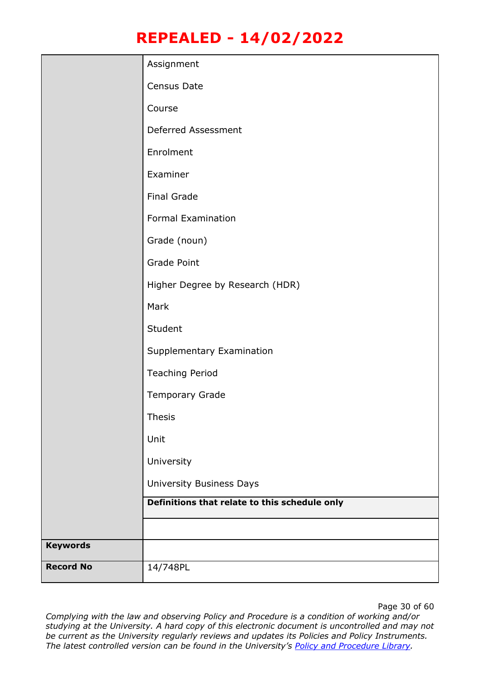|                  | Assignment                                    |
|------------------|-----------------------------------------------|
|                  | Census Date                                   |
|                  | Course                                        |
|                  | Deferred Assessment                           |
|                  | Enrolment                                     |
|                  | Examiner                                      |
|                  | <b>Final Grade</b>                            |
|                  | <b>Formal Examination</b>                     |
|                  | Grade (noun)                                  |
|                  | <b>Grade Point</b>                            |
|                  | Higher Degree by Research (HDR)               |
|                  | Mark                                          |
|                  | Student                                       |
|                  | Supplementary Examination                     |
|                  | <b>Teaching Period</b>                        |
|                  | Temporary Grade                               |
|                  | Thesis                                        |
|                  | Unit                                          |
|                  | University                                    |
|                  | University Business Days                      |
|                  | Definitions that relate to this schedule only |
|                  |                                               |
| <b>Keywords</b>  |                                               |
| <b>Record No</b> | 14/748PL                                      |

Page 30 of 60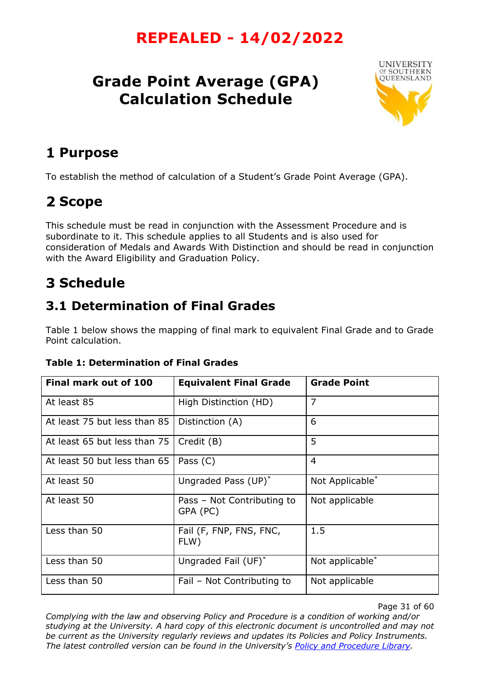# <span id="page-30-0"></span>**Grade Point Average (GPA) Calculation Schedule**



## **Purpose**

To establish the method of calculation of a Student's Grade Point Average (GPA).

# 2 Scope

This schedule must be read in conjunction with the Assessment Procedure and is subordinate to it. This schedule applies to all Students and is also used for consideration of Medals and Awards With Distinction and should be read in conjunction with the Award Eligibility and Graduation Policy.

# **Schedule**

### **3.1 Determination of Final Grades**

Table 1 below shows the mapping of final mark to equivalent Final Grade and to Grade Point calculation.

| Final mark out of 100        | <b>Equivalent Final Grade</b>          | <b>Grade Point</b> |
|------------------------------|----------------------------------------|--------------------|
| At least 85                  | High Distinction (HD)                  | $\overline{7}$     |
| At least 75 but less than 85 | Distinction (A)                        | 6                  |
| At least 65 but less than 75 | Credit (B)                             | 5                  |
| At least 50 but less than 65 | Pass $(C)$                             | $\overline{4}$     |
| At least 50                  | Ungraded Pass (UP) <sup>*</sup>        | Not Applicable*    |
| At least 50                  | Pass – Not Contributing to<br>GPA (PC) | Not applicable     |
| Less than 50                 | Fail (F, FNP, FNS, FNC,<br>FLW)        | 1.5                |
| Less than 50                 | Ungraded Fail (UF)*                    | Not applicable*    |
| Less than 50                 | Fail – Not Contributing to             | Not applicable     |

#### **Table 1: Determination of Final Grades**

Page 31 of 60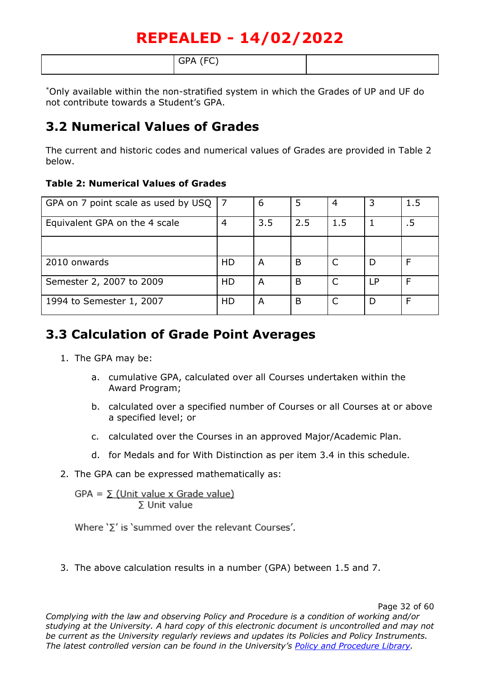\*Only available within the non-stratified system in which the Grades of UP and UF do not contribute towards a Student's GPA.

### **3.2 Numerical Values of Grades**

The current and historic codes and numerical values of Grades are provided in Table 2 below.

#### **Table 2: Numerical Values of Grades**

| GPA on 7 point scale as used by USQ   7 |           | 6   | 5   | 4   | 3  | 1.5 |
|-----------------------------------------|-----------|-----|-----|-----|----|-----|
| Equivalent GPA on the 4 scale           | 4         | 3.5 | 2.5 | 1.5 |    |     |
|                                         |           |     |     |     |    |     |
| 2010 onwards                            | <b>HD</b> | A   | B   |     | D  |     |
| Semester 2, 2007 to 2009                | <b>HD</b> | A   | B   |     | LP |     |
| 1994 to Semester 1, 2007                | <b>HD</b> | A   | B   |     | D  |     |

### **3.3 Calculation of Grade Point Averages**

- 1. The GPA may be:
	- a. cumulative GPA, calculated over all Courses undertaken within the Award Program;
	- b. calculated over a specified number of Courses or all Courses at or above a specified level; or
	- c. calculated over the Courses in an approved Major/Academic Plan.
	- d. for Medals and for With Distinction as per item 3.4 in this schedule.
- 2. The GPA can be expressed mathematically as:

GPA =  $\Sigma$  (Unit value x Grade value) Σ Unit value

Where  $\Sigma'$  is 'summed over the relevant Courses'.

3. The above calculation results in a number (GPA) between 1.5 and 7.

Page 32 of 60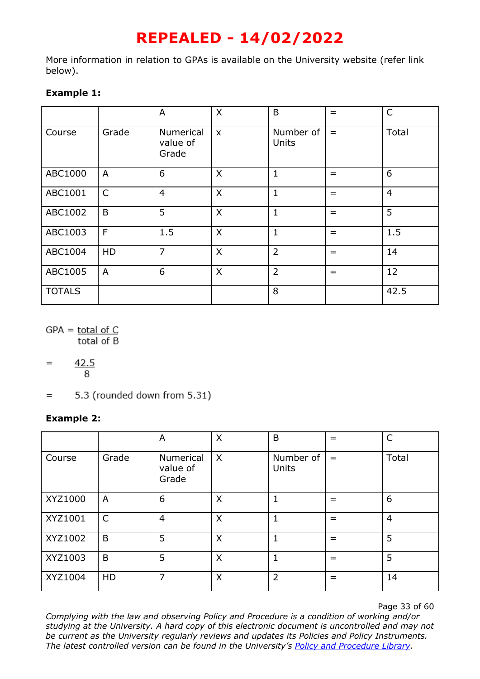More information in relation to GPAs is available on the University website (refer link below).

#### **Example 1:**

|               |              | A                              | X            | B                  | $=$ | $\mathsf{C}$   |
|---------------|--------------|--------------------------------|--------------|--------------------|-----|----------------|
| Course        | Grade        | Numerical<br>value of<br>Grade | $\mathsf{x}$ | Number of<br>Units | $=$ | Total          |
| ABC1000       | A            | 6                              | X            | $\mathbf{1}$       | $=$ | 6              |
| ABC1001       | $\mathsf{C}$ | $\overline{4}$                 | X            | $\mathbf{1}$       | $=$ | $\overline{4}$ |
| ABC1002       | B            | 5                              | $\mathsf{X}$ | $\mathbf{1}$       | $=$ | 5              |
| ABC1003       | F            | 1.5                            | X            | $\mathbf{1}$       | $=$ | 1.5            |
| ABC1004       | HD           | $\overline{7}$                 | X            | $\overline{2}$     | $=$ | 14             |
| ABC1005       | A            | 6                              | X            | $\overline{2}$     | $=$ | 12             |
| <b>TOTALS</b> |              |                                |              | 8                  |     | 42.5           |

 $GPA = \underline{total}$  of C total of B

- 42.5  $\quad =$ 8
- 5.3 (rounded down from 5.31)  $=$

#### **Example 2:**

|         |              | A                              | X | B                  | $=$ | $\mathsf{C}$   |
|---------|--------------|--------------------------------|---|--------------------|-----|----------------|
| Course  | Grade        | Numerical<br>value of<br>Grade | X | Number of<br>Units | $=$ | Total          |
| XYZ1000 | A            | 6                              | X | 1                  | $=$ | 6              |
| XYZ1001 | $\mathsf{C}$ | 4                              | X | 1                  | $=$ | $\overline{4}$ |
| XYZ1002 | B            | 5                              | X | 1                  | $=$ | 5              |
| XYZ1003 | B            | 5                              | X | 1                  | $=$ | 5              |
| XYZ1004 | HD           | $\overline{ }$                 | X | $\overline{2}$     | $=$ | 14             |

Page 33 of 60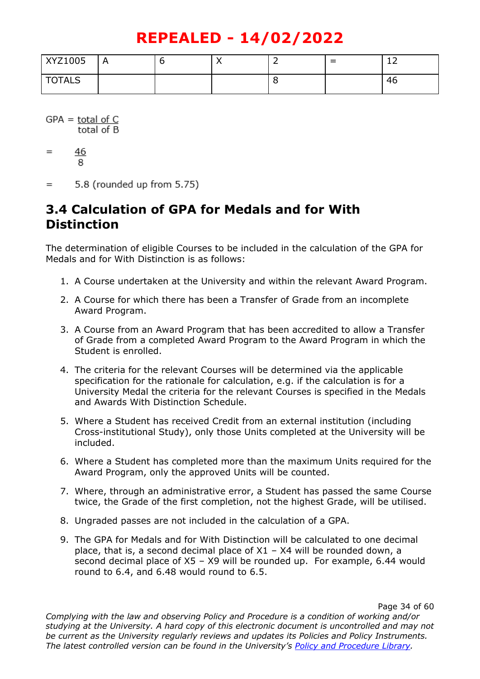| XYZ1005       | $\overline{A}$ | J | . . |   | -<br>∸∸ |
|---------------|----------------|---|-----|---|---------|
| <b>TOTALS</b> |                |   |     | u | 46      |

 $GPA = total of C$ total of B

- 46  $=$ 8
- 5.8 (rounded up from 5.75)  $=$

### **3.4 Calculation of GPA for Medals and for With Distinction**

The determination of eligible Courses to be included in the calculation of the GPA for Medals and for With Distinction is as follows:

- 1. A Course undertaken at the University and within the relevant Award Program.
- 2. A Course for which there has been a Transfer of Grade from an incomplete Award Program.
- 3. A Course from an Award Program that has been accredited to allow a Transfer of Grade from a completed Award Program to the Award Program in which the Student is enrolled.
- 4. The criteria for the relevant Courses will be determined via the applicable specification for the rationale for calculation, e.g. if the calculation is for a University Medal the criteria for the relevant Courses is specified in the Medals and Awards With Distinction Schedule.
- 5. Where a Student has received Credit from an external institution (including Cross-institutional Study), only those Units completed at the University will be included.
- 6. Where a Student has completed more than the maximum Units required for the Award Program, only the approved Units will be counted.
- 7. Where, through an administrative error, a Student has passed the same Course twice, the Grade of the first completion, not the highest Grade, will be utilised.
- 8. Ungraded passes are not included in the calculation of a GPA.
- 9. The GPA for Medals and for With Distinction will be calculated to one decimal place, that is, a second decimal place of  $X1 - X4$  will be rounded down, a second decimal place of X5 – X9 will be rounded up. For example, 6.44 would round to 6.4, and 6.48 would round to 6.5.

Page 34 of 60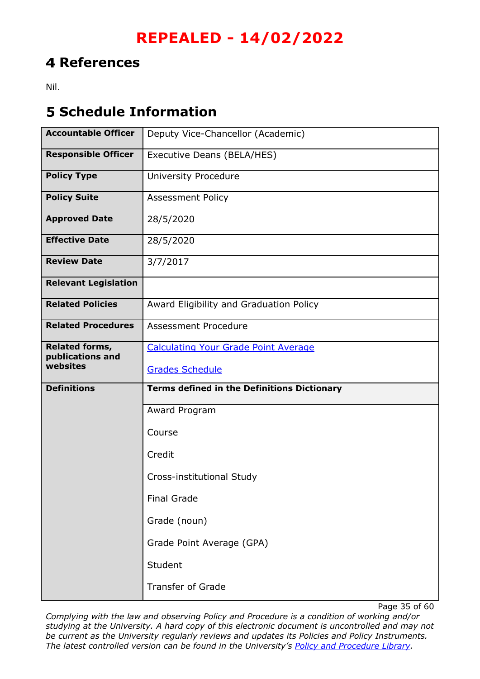### **References**

Nil.

### **Schedule Information**

| <b>Accountable Officer</b>                | Deputy Vice-Chancellor (Academic)                  |  |  |  |  |
|-------------------------------------------|----------------------------------------------------|--|--|--|--|
| <b>Responsible Officer</b>                | Executive Deans (BELA/HES)                         |  |  |  |  |
| <b>Policy Type</b>                        | University Procedure                               |  |  |  |  |
| <b>Policy Suite</b>                       | <b>Assessment Policy</b>                           |  |  |  |  |
| <b>Approved Date</b>                      | 28/5/2020                                          |  |  |  |  |
| <b>Effective Date</b>                     | 28/5/2020                                          |  |  |  |  |
| <b>Review Date</b>                        | 3/7/2017                                           |  |  |  |  |
| <b>Relevant Legislation</b>               |                                                    |  |  |  |  |
| <b>Related Policies</b>                   | Award Eligibility and Graduation Policy            |  |  |  |  |
| <b>Related Procedures</b>                 | Assessment Procedure                               |  |  |  |  |
| <b>Related forms,</b><br>publications and | <b>Calculating Your Grade Point Average</b>        |  |  |  |  |
|                                           | <b>Grades Schedule</b>                             |  |  |  |  |
| websites                                  |                                                    |  |  |  |  |
| <b>Definitions</b>                        | <b>Terms defined in the Definitions Dictionary</b> |  |  |  |  |
|                                           | Award Program                                      |  |  |  |  |
|                                           | Course                                             |  |  |  |  |
|                                           | Credit                                             |  |  |  |  |
|                                           | Cross-institutional Study                          |  |  |  |  |
|                                           | <b>Final Grade</b>                                 |  |  |  |  |
|                                           | Grade (noun)                                       |  |  |  |  |
|                                           | Grade Point Average (GPA)                          |  |  |  |  |
|                                           | Student                                            |  |  |  |  |

Page 35 of 60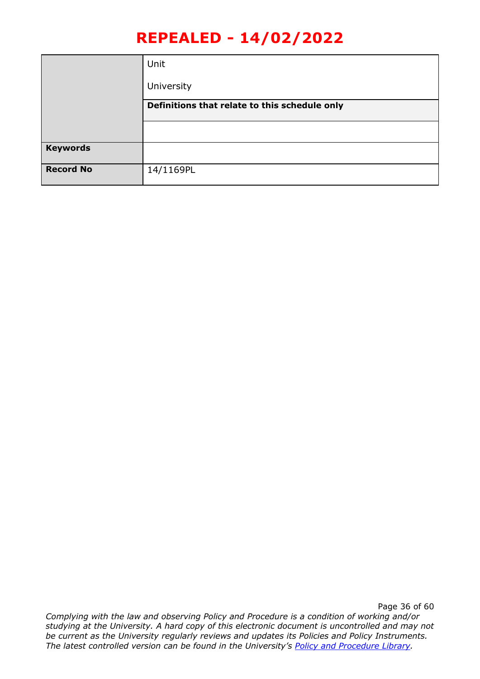|                  | Unit                                          |
|------------------|-----------------------------------------------|
|                  | University                                    |
|                  | Definitions that relate to this schedule only |
|                  |                                               |
| <b>Keywords</b>  |                                               |
| <b>Record No</b> | 14/1169PL                                     |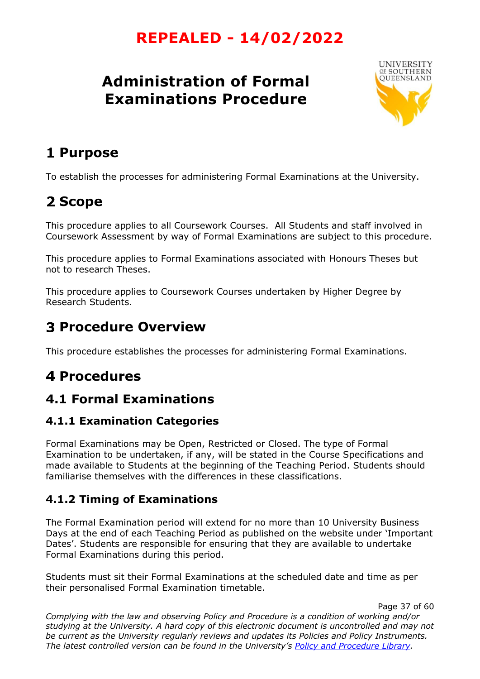# <span id="page-36-0"></span>**Administration of Formal Examinations Procedure**



# **Purpose**

To establish the processes for administering Formal Examinations at the University.

# 2 Scope

This procedure applies to all Coursework Courses. All Students and staff involved in Coursework Assessment by way of Formal Examinations are subject to this procedure.

This procedure applies to Formal Examinations associated with Honours Theses but not to research Theses.

This procedure applies to Coursework Courses undertaken by Higher Degree by Research Students.

## **Procedure Overview**

This procedure establishes the processes for administering Formal Examinations.

# **4 Procedures**

### **4.1 Formal Examinations**

### **4.1.1 Examination Categories**

Formal Examinations may be Open, Restricted or Closed. The type of Formal Examination to be undertaken, if any, will be stated in the Course Specifications and made available to Students at the beginning of the Teaching Period. Students should familiarise themselves with the differences in these classifications.

### **4.1.2 Timing of Examinations**

The Formal Examination period will extend for no more than 10 University Business Days at the end of each Teaching Period as published on the website under 'Important Dates'. Students are responsible for ensuring that they are available to undertake Formal Examinations during this period.

Students must sit their Formal Examinations at the scheduled date and time as per their personalised Formal Examination timetable.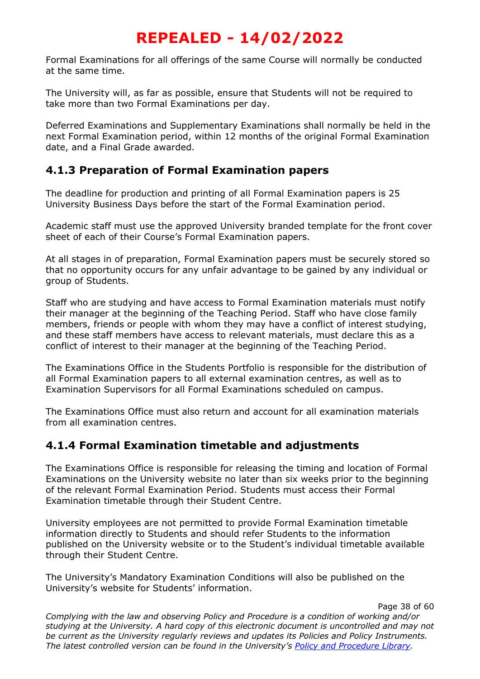Formal Examinations for all offerings of the same Course will normally be conducted at the same time.

The University will, as far as possible, ensure that Students will not be required to take more than two Formal Examinations per day.

Deferred Examinations and Supplementary Examinations shall normally be held in the next Formal Examination period, within 12 months of the original Formal Examination date, and a Final Grade awarded.

#### **4.1.3 Preparation of Formal Examination papers**

The deadline for production and printing of all Formal Examination papers is 25 University Business Days before the start of the Formal Examination period.

Academic staff must use the approved University branded template for the front cover sheet of each of their Course's Formal Examination papers.

At all stages in of preparation, Formal Examination papers must be securely stored so that no opportunity occurs for any unfair advantage to be gained by any individual or group of Students.

Staff who are studying and have access to Formal Examination materials must notify their manager at the beginning of the Teaching Period. Staff who have close family members, friends or people with whom they may have a conflict of interest studying, and these staff members have access to relevant materials, must declare this as a conflict of interest to their manager at the beginning of the Teaching Period.

The Examinations Office in the Students Portfolio is responsible for the distribution of all Formal Examination papers to all external examination centres, as well as to Examination Supervisors for all Formal Examinations scheduled on campus.

The Examinations Office must also return and account for all examination materials from all examination centres.

#### **4.1.4 Formal Examination timetable and adjustments**

The Examinations Office is responsible for releasing the timing and location of Formal Examinations on the University website no later than six weeks prior to the beginning of the relevant Formal Examination Period. Students must access their Formal Examination timetable through their Student Centre.

University employees are not permitted to provide Formal Examination timetable information directly to Students and should refer Students to the information published on the University website or to the Student's individual timetable available through their Student Centre.

The University's Mandatory Examination Conditions will also be published on the University's website for Students' information.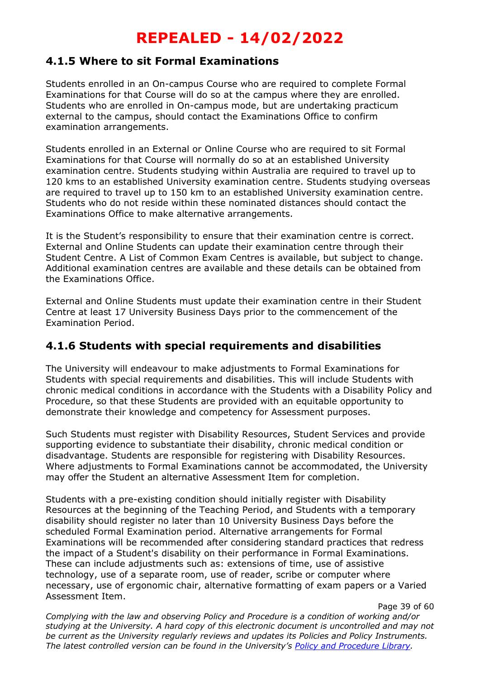#### **4.1.5 Where to sit Formal Examinations**

Students enrolled in an On-campus Course who are required to complete Formal Examinations for that Course will do so at the campus where they are enrolled. Students who are enrolled in On-campus mode, but are undertaking practicum external to the campus, should contact the Examinations Office to confirm examination arrangements.

Students enrolled in an External or Online Course who are required to sit Formal Examinations for that Course will normally do so at an established University examination centre. Students studying within Australia are required to travel up to 120 kms to an established University examination centre. Students studying overseas are required to travel up to 150 km to an established University examination centre. Students who do not reside within these nominated distances should contact the Examinations Office to make alternative arrangements.

It is the Student's responsibility to ensure that their examination centre is correct. External and Online Students can update their examination centre through their Student Centre. A List of Common Exam Centres is available, but subject to change. Additional examination centres are available and these details can be obtained from the Examinations Office.

External and Online Students must update their examination centre in their Student Centre at least 17 University Business Days prior to the commencement of the Examination Period.

#### **4.1.6 Students with special requirements and disabilities**

The University will endeavour to make adjustments to Formal Examinations for Students with special requirements and disabilities. This will include Students with chronic medical conditions in accordance with the Students with a Disability Policy and Procedure, so that these Students are provided with an equitable opportunity to demonstrate their knowledge and competency for Assessment purposes.

Such Students must register with Disability Resources, Student Services and provide supporting evidence to substantiate their disability, chronic medical condition or disadvantage. Students are responsible for registering with Disability Resources. Where adjustments to Formal Examinations cannot be accommodated, the University may offer the Student an alternative Assessment Item for completion.

Students with a pre-existing condition should initially register with Disability Resources at the beginning of the Teaching Period, and Students with a temporary disability should register no later than 10 University Business Days before the scheduled Formal Examination period. Alternative arrangements for Formal Examinations will be recommended after considering standard practices that redress the impact of a Student's disability on their performance in Formal Examinations. These can include adjustments such as: extensions of time, use of assistive technology, use of a separate room, use of reader, scribe or computer where necessary, use of ergonomic chair, alternative formatting of exam papers or a Varied Assessment Item.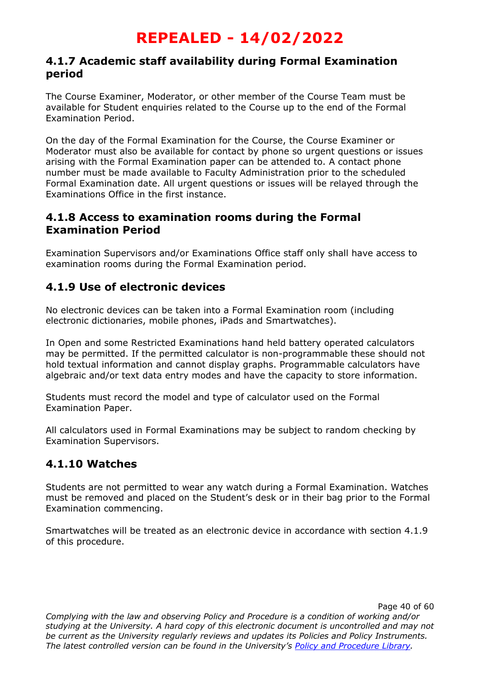#### **4.1.7 Academic staff availability during Formal Examination period**

The Course Examiner, Moderator, or other member of the Course Team must be available for Student enquiries related to the Course up to the end of the Formal Examination Period.

On the day of the Formal Examination for the Course, the Course Examiner or Moderator must also be available for contact by phone so urgent questions or issues arising with the Formal Examination paper can be attended to. A contact phone number must be made available to Faculty Administration prior to the scheduled Formal Examination date. All urgent questions or issues will be relayed through the Examinations Office in the first instance.

#### **4.1.8 Access to examination rooms during the Formal Examination Period**

Examination Supervisors and/or Examinations Office staff only shall have access to examination rooms during the Formal Examination period.

#### **4.1.9 Use of electronic devices**

No electronic devices can be taken into a Formal Examination room (including electronic dictionaries, mobile phones, iPads and Smartwatches).

In Open and some Restricted Examinations hand held battery operated calculators may be permitted. If the permitted calculator is non-programmable these should not hold textual information and cannot display graphs. Programmable calculators have algebraic and/or text data entry modes and have the capacity to store information.

Students must record the model and type of calculator used on the Formal Examination Paper.

All calculators used in Formal Examinations may be subject to random checking by Examination Supervisors.

### **4.1.10 Watches**

Students are not permitted to wear any watch during a Formal Examination. Watches must be removed and placed on the Student's desk or in their bag prior to the Formal Examination commencing.

Smartwatches will be treated as an electronic device in accordance with section 4.1.9 of this procedure.

Page 40 of 60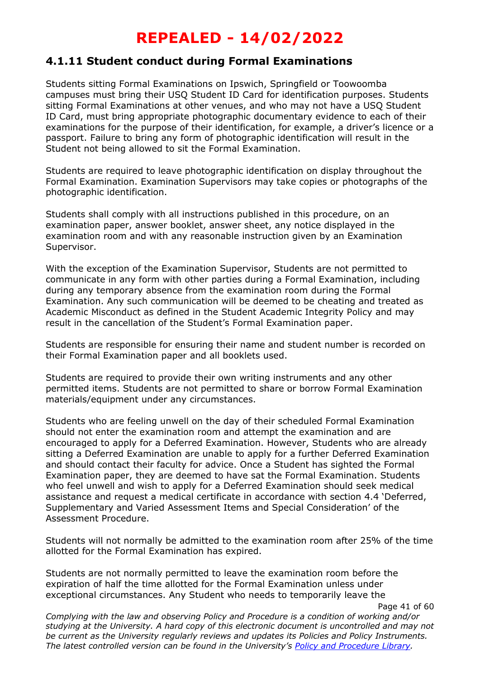#### **4.1.11 Student conduct during Formal Examinations**

Students sitting Formal Examinations on Ipswich, Springfield or Toowoomba campuses must bring their USQ Student ID Card for identification purposes. Students sitting Formal Examinations at other venues, and who may not have a USQ Student ID Card, must bring appropriate photographic documentary evidence to each of their examinations for the purpose of their identification, for example, a driver's licence or a passport. Failure to bring any form of photographic identification will result in the Student not being allowed to sit the Formal Examination.

Students are required to leave photographic identification on display throughout the Formal Examination. Examination Supervisors may take copies or photographs of the photographic identification.

Students shall comply with all instructions published in this procedure, on an examination paper, answer booklet, answer sheet, any notice displayed in the examination room and with any reasonable instruction given by an Examination Supervisor.

With the exception of the Examination Supervisor, Students are not permitted to communicate in any form with other parties during a Formal Examination, including during any temporary absence from the examination room during the Formal Examination. Any such communication will be deemed to be cheating and treated as Academic Misconduct as defined in the Student Academic Integrity Policy and may result in the cancellation of the Student's Formal Examination paper.

Students are responsible for ensuring their name and student number is recorded on their Formal Examination paper and all booklets used.

Students are required to provide their own writing instruments and any other permitted items. Students are not permitted to share or borrow Formal Examination materials/equipment under any circumstances.

Students who are feeling unwell on the day of their scheduled Formal Examination should not enter the examination room and attempt the examination and are encouraged to apply for a Deferred Examination. However, Students who are already sitting a Deferred Examination are unable to apply for a further Deferred Examination and should contact their faculty for advice. Once a Student has sighted the Formal Examination paper, they are deemed to have sat the Formal Examination. Students who feel unwell and wish to apply for a Deferred Examination should seek medical assistance and request a medical certificate in accordance with section 4.4 'Deferred, Supplementary and Varied Assessment Items and Special Consideration' of the Assessment Procedure.

Students will not normally be admitted to the examination room after 25% of the time allotted for the Formal Examination has expired.

Students are not normally permitted to leave the examination room before the expiration of half the time allotted for the Formal Examination unless under exceptional circumstances. Any Student who needs to temporarily leave the

Page 41 of 60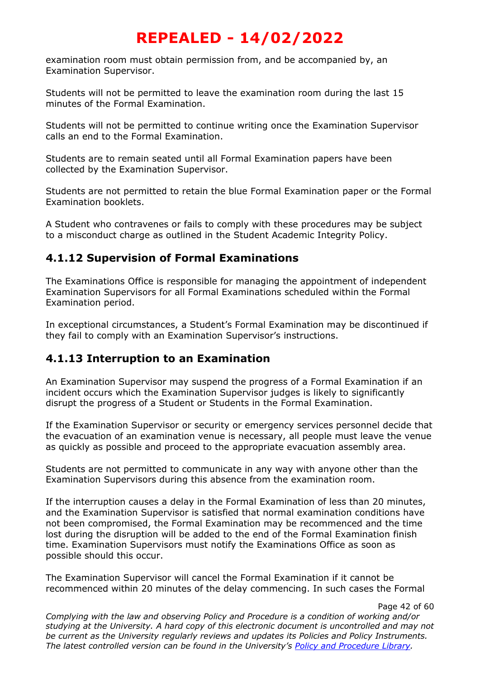examination room must obtain permission from, and be accompanied by, an Examination Supervisor.

Students will not be permitted to leave the examination room during the last 15 minutes of the Formal Examination.

Students will not be permitted to continue writing once the Examination Supervisor calls an end to the Formal Examination.

Students are to remain seated until all Formal Examination papers have been collected by the Examination Supervisor.

Students are not permitted to retain the blue Formal Examination paper or the Formal Examination booklets.

A Student who contravenes or fails to comply with these procedures may be subject to a misconduct charge as outlined in the Student Academic Integrity Policy.

#### **4.1.12 Supervision of Formal Examinations**

The Examinations Office is responsible for managing the appointment of independent Examination Supervisors for all Formal Examinations scheduled within the Formal Examination period.

In exceptional circumstances, a Student's Formal Examination may be discontinued if they fail to comply with an Examination Supervisor's instructions.

#### **4.1.13 Interruption to an Examination**

An Examination Supervisor may suspend the progress of a Formal Examination if an incident occurs which the Examination Supervisor judges is likely to significantly disrupt the progress of a Student or Students in the Formal Examination.

If the Examination Supervisor or security or emergency services personnel decide that the evacuation of an examination venue is necessary, all people must leave the venue as quickly as possible and proceed to the appropriate evacuation assembly area.

Students are not permitted to communicate in any way with anyone other than the Examination Supervisors during this absence from the examination room.

If the interruption causes a delay in the Formal Examination of less than 20 minutes, and the Examination Supervisor is satisfied that normal examination conditions have not been compromised, the Formal Examination may be recommenced and the time lost during the disruption will be added to the end of the Formal Examination finish time. Examination Supervisors must notify the Examinations Office as soon as possible should this occur.

The Examination Supervisor will cancel the Formal Examination if it cannot be recommenced within 20 minutes of the delay commencing. In such cases the Formal

Page 42 of 60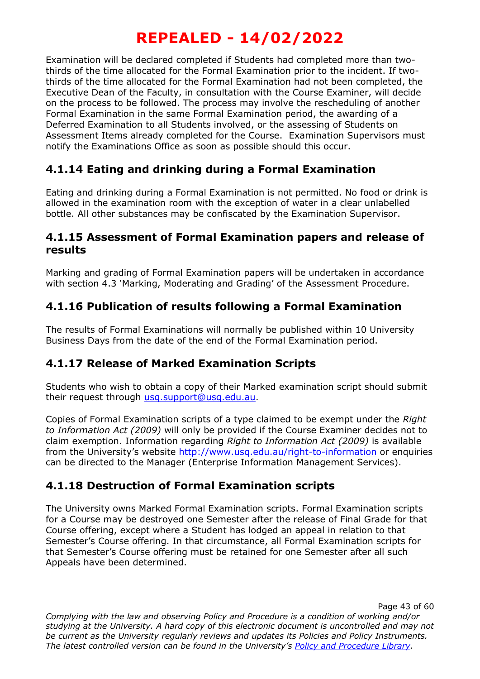Examination will be declared completed if Students had completed more than twothirds of the time allocated for the Formal Examination prior to the incident. If twothirds of the time allocated for the Formal Examination had not been completed, the Executive Dean of the Faculty, in consultation with the Course Examiner, will decide on the process to be followed. The process may involve the rescheduling of another Formal Examination in the same Formal Examination period, the awarding of a Deferred Examination to all Students involved, or the assessing of Students on Assessment Items already completed for the Course. Examination Supervisors must notify the Examinations Office as soon as possible should this occur.

### **4.1.14 Eating and drinking during a Formal Examination**

Eating and drinking during a Formal Examination is not permitted. No food or drink is allowed in the examination room with the exception of water in a clear unlabelled bottle. All other substances may be confiscated by the Examination Supervisor.

#### **4.1.15 Assessment of Formal Examination papers and release of results**

Marking and grading of Formal Examination papers will be undertaken in accordance with section 4.3 'Marking, Moderating and Grading' of the Assessment Procedure.

#### **4.1.16 Publication of results following a Formal Examination**

The results of Formal Examinations will normally be published within 10 University Business Days from the date of the end of the Formal Examination period.

#### **4.1.17 Release of Marked Examination Scripts**

Students who wish to obtain a copy of their Marked examination script should submit their request through [usq.support@usq.edu.au.](mailto:usq.support@usq.edu.au)

Copies of Formal Examination scripts of a type claimed to be exempt under the *Right to Information Act (2009)* will only be provided if the Course Examiner decides not to claim exemption. Information regarding *Right to Information Act (2009)* is available from the University's website <http://www.usq.edu.au/right-to-information> or enquiries can be directed to the Manager (Enterprise Information Management Services).

#### **4.1.18 Destruction of Formal Examination scripts**

The University owns Marked Formal Examination scripts. Formal Examination scripts for a Course may be destroyed one Semester after the release of Final Grade for that Course offering, except where a Student has lodged an appeal in relation to that Semester's Course offering. In that circumstance, all Formal Examination scripts for that Semester's Course offering must be retained for one Semester after all such Appeals have been determined.

Page 43 of 60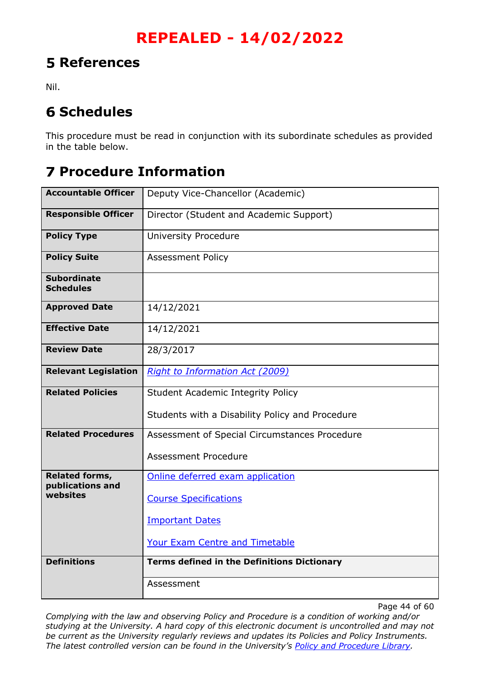### **References**

Nil.

# **Schedules**

This procedure must be read in conjunction with its subordinate schedules as provided in the table below.

### **Procedure Information**

| <b>Accountable Officer</b>                | Deputy Vice-Chancellor (Academic)                  |
|-------------------------------------------|----------------------------------------------------|
| <b>Responsible Officer</b>                | Director (Student and Academic Support)            |
| <b>Policy Type</b>                        | <b>University Procedure</b>                        |
| <b>Policy Suite</b>                       | <b>Assessment Policy</b>                           |
| <b>Subordinate</b><br><b>Schedules</b>    |                                                    |
| <b>Approved Date</b>                      | 14/12/2021                                         |
| <b>Effective Date</b>                     | 14/12/2021                                         |
| <b>Review Date</b>                        | 28/3/2017                                          |
| <b>Relevant Legislation</b>               | Right to Information Act (2009)                    |
| <b>Related Policies</b>                   | <b>Student Academic Integrity Policy</b>           |
|                                           | Students with a Disability Policy and Procedure    |
| <b>Related Procedures</b>                 | Assessment of Special Circumstances Procedure      |
|                                           | <b>Assessment Procedure</b>                        |
| <b>Related forms,</b><br>publications and | Online deferred exam application                   |
| websites                                  | <b>Course Specifications</b>                       |
|                                           | <b>Important Dates</b>                             |
|                                           | <b>Your Exam Centre and Timetable</b>              |
| <b>Definitions</b>                        | <b>Terms defined in the Definitions Dictionary</b> |
|                                           | Assessment                                         |

Page 44 of 60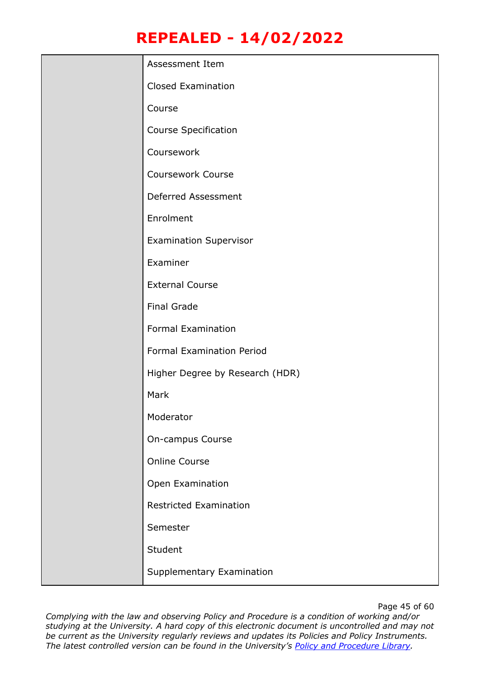| Assessment Item                  |
|----------------------------------|
| <b>Closed Examination</b>        |
| Course                           |
| <b>Course Specification</b>      |
| Coursework                       |
| <b>Coursework Course</b>         |
| Deferred Assessment              |
| Enrolment                        |
| <b>Examination Supervisor</b>    |
| Examiner                         |
| <b>External Course</b>           |
| <b>Final Grade</b>               |
| <b>Formal Examination</b>        |
| <b>Formal Examination Period</b> |
| Higher Degree by Research (HDR)  |
| Mark                             |
| Moderator                        |
| On-campus Course                 |
| <b>Online Course</b>             |
| Open Examination                 |
| <b>Restricted Examination</b>    |
| Semester                         |
| Student                          |
| Supplementary Examination        |
|                                  |

Page 45 of 60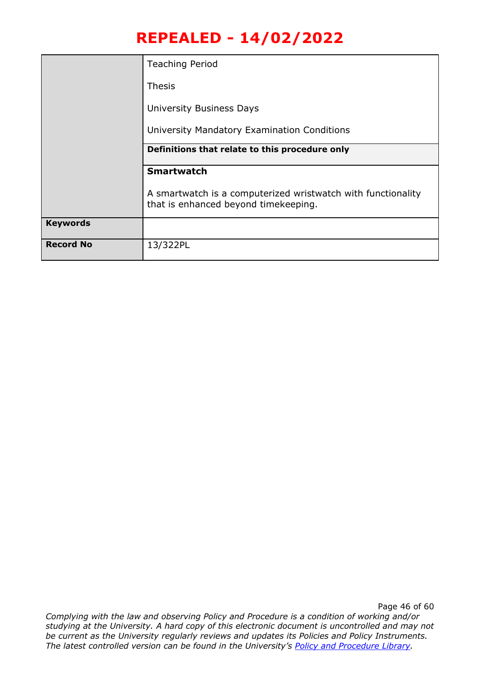|                  | <b>Teaching Period</b>                                                                               |
|------------------|------------------------------------------------------------------------------------------------------|
|                  | Thesis                                                                                               |
|                  | University Business Days                                                                             |
|                  | University Mandatory Examination Conditions                                                          |
|                  | Definitions that relate to this procedure only                                                       |
|                  | <b>Smartwatch</b>                                                                                    |
|                  | A smartwatch is a computerized wristwatch with functionality<br>that is enhanced beyond timekeeping. |
| <b>Keywords</b>  |                                                                                                      |
| <b>Record No</b> | 13/322PL                                                                                             |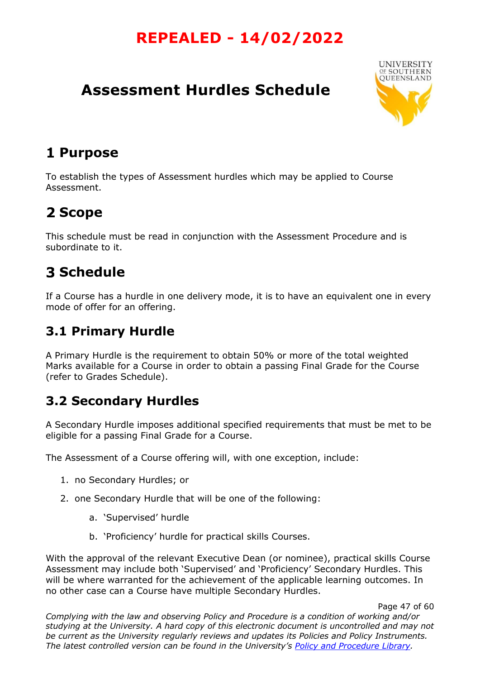# <span id="page-46-0"></span>**Assessment Hurdles Schedule**



### **Purpose**

To establish the types of Assessment hurdles which may be applied to Course Assessment.

# **Scope**

This schedule must be read in conjunction with the Assessment Procedure and is subordinate to it.

# **Schedule**

If a Course has a hurdle in one delivery mode, it is to have an equivalent one in every mode of offer for an offering.

### **3.1 Primary Hurdle**

A Primary Hurdle is the requirement to obtain 50% or more of the total weighted Marks available for a Course in order to obtain a passing Final Grade for the Course (refer to Grades Schedule).

### **3.2 Secondary Hurdles**

A Secondary Hurdle imposes additional specified requirements that must be met to be eligible for a passing Final Grade for a Course.

The Assessment of a Course offering will, with one exception, include:

- 1. no Secondary Hurdles; or
- 2. one Secondary Hurdle that will be one of the following:
	- a. 'Supervised' hurdle
	- b. 'Proficiency' hurdle for practical skills Courses.

With the approval of the relevant Executive Dean (or nominee), practical skills Course Assessment may include both 'Supervised' and 'Proficiency' Secondary Hurdles. This will be where warranted for the achievement of the applicable learning outcomes. In no other case can a Course have multiple Secondary Hurdles.

Page 47 of 60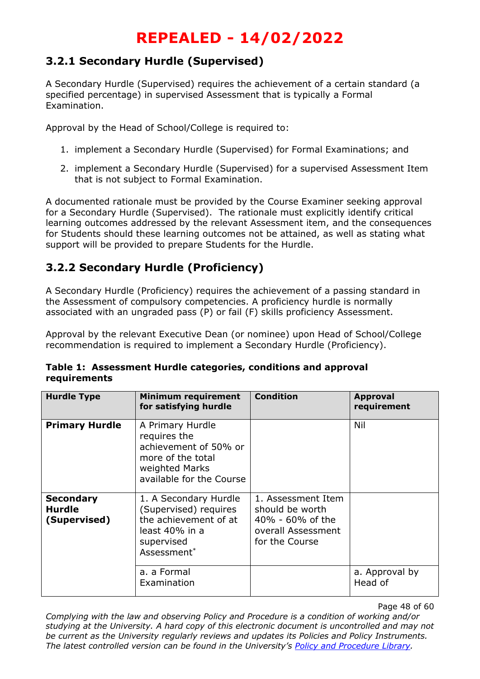### **3.2.1 Secondary Hurdle (Supervised)**

A Secondary Hurdle (Supervised) requires the achievement of a certain standard (a specified percentage) in supervised Assessment that is typically a Formal Examination.

Approval by the Head of School/College is required to:

- 1. implement a Secondary Hurdle (Supervised) for Formal Examinations; and
- 2. implement a Secondary Hurdle (Supervised) for a supervised Assessment Item that is not subject to Formal Examination.

A documented rationale must be provided by the Course Examiner seeking approval for a Secondary Hurdle (Supervised). The rationale must explicitly identify critical learning outcomes addressed by the relevant Assessment item, and the consequences for Students should these learning outcomes not be attained, as well as stating what support will be provided to prepare Students for the Hurdle.

### **3.2.2 Secondary Hurdle (Proficiency)**

A Secondary Hurdle (Proficiency) requires the achievement of a passing standard in the Assessment of compulsory competencies. A proficiency hurdle is normally associated with an ungraded pass (P) or fail (F) skills proficiency Assessment.

Approval by the relevant Executive Dean (or nominee) upon Head of School/College recommendation is required to implement a Secondary Hurdle (Proficiency).

| <b>Hurdle Type</b>                                | <b>Minimum requirement</b><br>for satisfying hurdle                                                                                | <b>Condition</b>                                                                                  | <b>Approval</b><br>requirement |
|---------------------------------------------------|------------------------------------------------------------------------------------------------------------------------------------|---------------------------------------------------------------------------------------------------|--------------------------------|
| <b>Primary Hurdle</b>                             | A Primary Hurdle<br>requires the<br>achievement of 50% or<br>more of the total<br>weighted Marks<br>available for the Course       |                                                                                                   | Nil                            |
| <b>Secondary</b><br><b>Hurdle</b><br>(Supervised) | 1. A Secondary Hurdle<br>(Supervised) requires<br>the achievement of at<br>least 40% in a<br>supervised<br>Assessment <sup>*</sup> | 1. Assessment Item<br>should be worth<br>40% - 60% of the<br>overall Assessment<br>for the Course |                                |
|                                                   | a. a Formal<br>Examination                                                                                                         |                                                                                                   | a. Approval by<br>Head of      |

**Table 1: Assessment Hurdle categories, conditions and approval requirements**

Page 48 of 60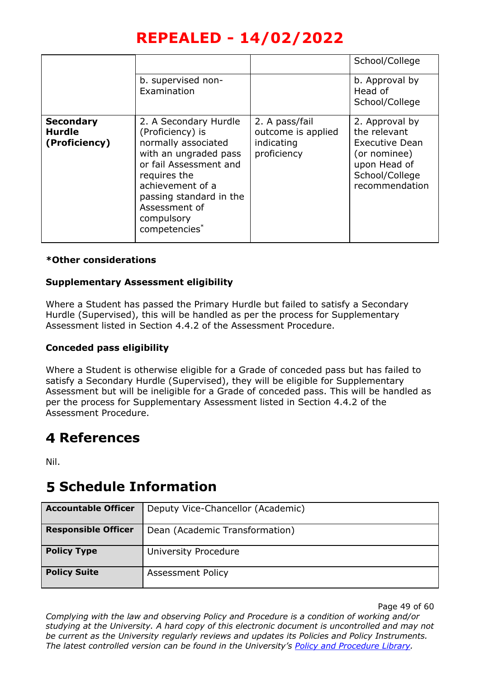|                                                    |                                                                                                                                                                                                                                    |                                                                   | School/College                                                                                                       |
|----------------------------------------------------|------------------------------------------------------------------------------------------------------------------------------------------------------------------------------------------------------------------------------------|-------------------------------------------------------------------|----------------------------------------------------------------------------------------------------------------------|
|                                                    | b. supervised non-<br>Examination                                                                                                                                                                                                  |                                                                   | b. Approval by<br>Head of<br>School/College                                                                          |
| <b>Secondary</b><br><b>Hurdle</b><br>(Proficiency) | 2. A Secondary Hurdle<br>(Proficiency) is<br>normally associated<br>with an ungraded pass<br>or fail Assessment and<br>requires the<br>achievement of a<br>passing standard in the<br>Assessment of<br>compulsory<br>competencies* | 2. A pass/fail<br>outcome is applied<br>indicating<br>proficiency | 2. Approval by<br>the relevant<br>Executive Dean<br>(or nominee)<br>upon Head of<br>School/College<br>recommendation |

#### **\*Other considerations**

#### **Supplementary Assessment eligibility**

Where a Student has passed the Primary Hurdle but failed to satisfy a Secondary Hurdle (Supervised), this will be handled as per the process for Supplementary Assessment listed in Section 4.4.2 of the Assessment Procedure.

#### **Conceded pass eligibility**

Where a Student is otherwise eligible for a Grade of conceded pass but has failed to satisfy a Secondary Hurdle (Supervised), they will be eligible for Supplementary Assessment but will be ineligible for a Grade of conceded pass. This will be handled as per the process for Supplementary Assessment listed in Section 4.4.2 of the Assessment Procedure.

### **References**

Nil.

### **Schedule Information**

| <b>Accountable Officer</b> | Deputy Vice-Chancellor (Academic) |
|----------------------------|-----------------------------------|
| <b>Responsible Officer</b> | Dean (Academic Transformation)    |
| <b>Policy Type</b>         | University Procedure              |
| <b>Policy Suite</b>        | <b>Assessment Policy</b>          |

Page 49 of 60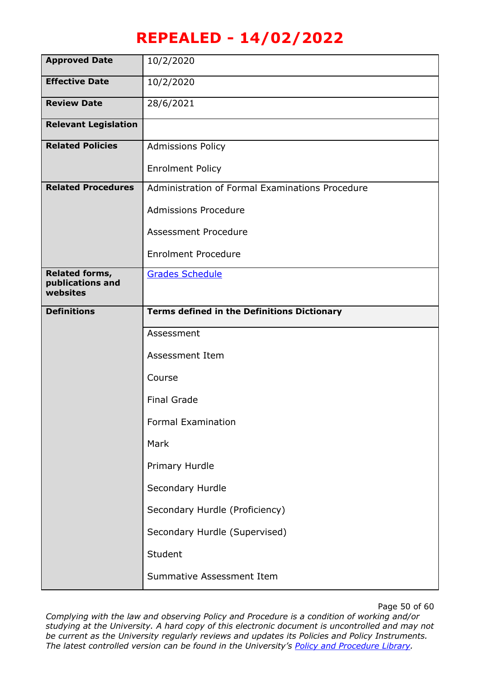| <b>Approved Date</b>               | 10/2/2020                                          |
|------------------------------------|----------------------------------------------------|
| <b>Effective Date</b>              | 10/2/2020                                          |
| <b>Review Date</b>                 | 28/6/2021                                          |
| <b>Relevant Legislation</b>        |                                                    |
| <b>Related Policies</b>            | <b>Admissions Policy</b>                           |
|                                    | <b>Enrolment Policy</b>                            |
| <b>Related Procedures</b>          | Administration of Formal Examinations Procedure    |
|                                    | <b>Admissions Procedure</b>                        |
|                                    | <b>Assessment Procedure</b>                        |
|                                    | <b>Enrolment Procedure</b>                         |
| Related forms,<br>publications and | <b>Grades Schedule</b>                             |
| websites                           |                                                    |
| <b>Definitions</b>                 | <b>Terms defined in the Definitions Dictionary</b> |
|                                    | Assessment                                         |
|                                    | <b>Assessment Item</b>                             |
|                                    | Course                                             |
|                                    | <b>Final Grade</b>                                 |
|                                    | <b>Formal Examination</b>                          |
|                                    | Mark                                               |
|                                    | Primary Hurdle                                     |
|                                    | Secondary Hurdle                                   |
|                                    | Secondary Hurdle (Proficiency)                     |
|                                    | Secondary Hurdle (Supervised)                      |
|                                    | Student                                            |
|                                    | Summative Assessment Item                          |

Page 50 of 60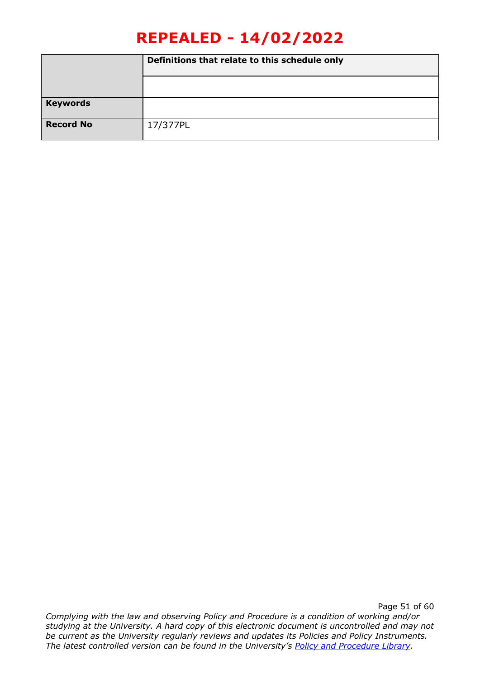|                  | Definitions that relate to this schedule only |
|------------------|-----------------------------------------------|
|                  |                                               |
| <b>Keywords</b>  |                                               |
| <b>Record No</b> | 17/377PL                                      |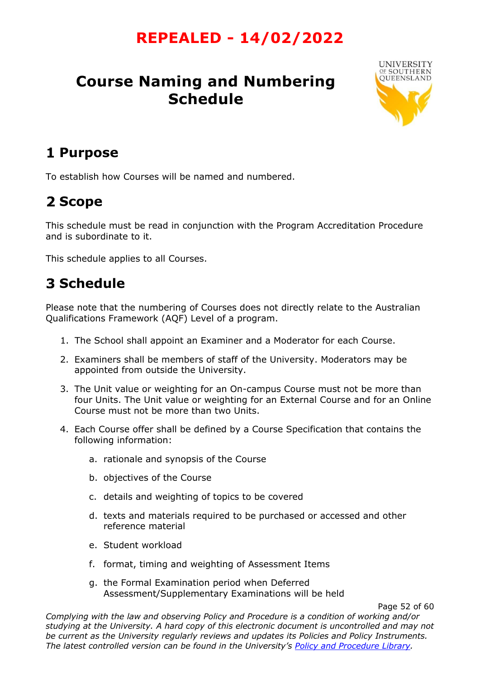## <span id="page-51-0"></span>**Course Naming and Numbering Schedule**



## **Purpose**

To establish how Courses will be named and numbered.

# 2 Scope

This schedule must be read in conjunction with the Program Accreditation Procedure and is subordinate to it.

This schedule applies to all Courses.

### **Schedule**

Please note that the numbering of Courses does not directly relate to the Australian Qualifications Framework (AQF) Level of a program.

- 1. The School shall appoint an Examiner and a Moderator for each Course.
- 2. Examiners shall be members of staff of the University. Moderators may be appointed from outside the University.
- 3. The Unit value or weighting for an On-campus Course must not be more than four Units. The Unit value or weighting for an External Course and for an Online Course must not be more than two Units.
- 4. Each Course offer shall be defined by a Course Specification that contains the following information:
	- a. rationale and synopsis of the Course
	- b. objectives of the Course
	- c. details and weighting of topics to be covered
	- d. texts and materials required to be purchased or accessed and other reference material
	- e. Student workload
	- f. format, timing and weighting of Assessment Items
	- g. the Formal Examination period when Deferred Assessment/Supplementary Examinations will be held

Page 52 of 60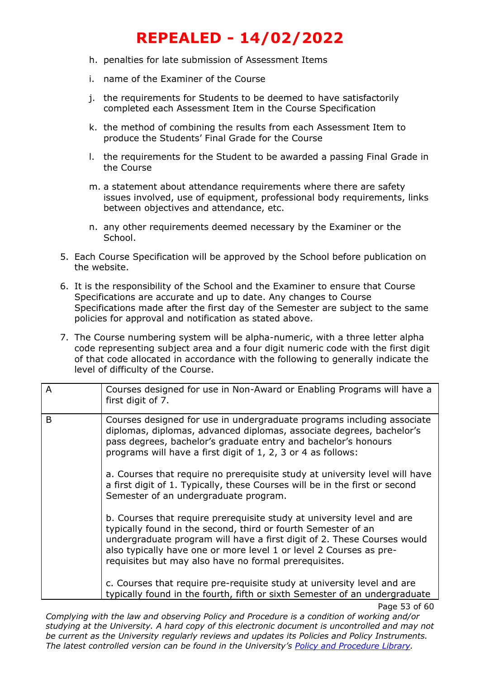- h. penalties for late submission of Assessment Items
- i. name of the Examiner of the Course
- j. the requirements for Students to be deemed to have satisfactorily completed each Assessment Item in the Course Specification
- k. the method of combining the results from each Assessment Item to produce the Students' Final Grade for the Course
- l. the requirements for the Student to be awarded a passing Final Grade in the Course
- m. a statement about attendance requirements where there are safety issues involved, use of equipment, professional body requirements, links between objectives and attendance, etc.
- n. any other requirements deemed necessary by the Examiner or the School.
- 5. Each Course Specification will be approved by the School before publication on the website.
- 6. It is the responsibility of the School and the Examiner to ensure that Course Specifications are accurate and up to date. Any changes to Course Specifications made after the first day of the Semester are subject to the same policies for approval and notification as stated above.
- 7. The Course numbering system will be alpha-numeric, with a three letter alpha code representing subject area and a four digit numeric code with the first digit of that code allocated in accordance with the following to generally indicate the level of difficulty of the Course.

|   | Courses designed for use in Non-Award or Enabling Programs will have a<br>first digit of 7.                                                                                                                                                                                                                                                       |
|---|---------------------------------------------------------------------------------------------------------------------------------------------------------------------------------------------------------------------------------------------------------------------------------------------------------------------------------------------------|
| B | Courses designed for use in undergraduate programs including associate<br>diplomas, diplomas, advanced diplomas, associate degrees, bachelor's<br>pass degrees, bachelor's graduate entry and bachelor's honours<br>programs will have a first digit of 1, 2, 3 or 4 as follows:                                                                  |
|   | a. Courses that require no prerequisite study at university level will have<br>a first digit of 1. Typically, these Courses will be in the first or second<br>Semester of an undergraduate program.                                                                                                                                               |
|   | b. Courses that require prerequisite study at university level and are<br>typically found in the second, third or fourth Semester of an<br>undergraduate program will have a first digit of 2. These Courses would<br>also typically have one or more level 1 or level 2 Courses as pre-<br>requisites but may also have no formal prerequisites. |
|   | c. Courses that require pre-requisite study at university level and are<br>typically found in the fourth, fifth or sixth Semester of an undergraduate                                                                                                                                                                                             |

Page 53 of 60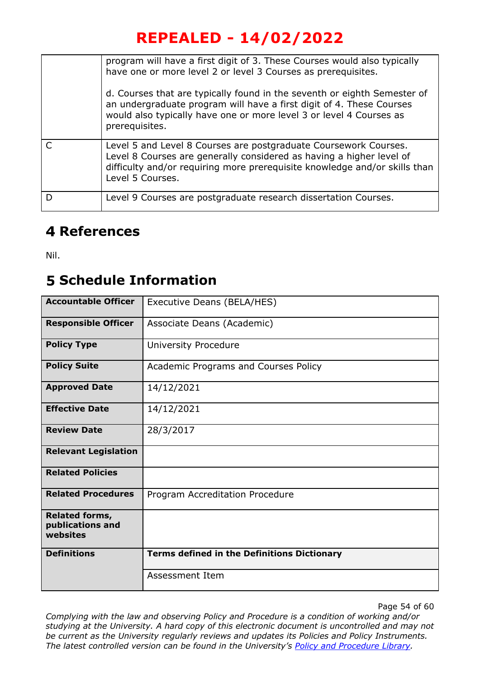|   | program will have a first digit of 3. These Courses would also typically<br>have one or more level 2 or level 3 Courses as prerequisites.<br>d. Courses that are typically found in the seventh or eighth Semester of<br>an undergraduate program will have a first digit of 4. These Courses<br>would also typically have one or more level 3 or level 4 Courses as |
|---|----------------------------------------------------------------------------------------------------------------------------------------------------------------------------------------------------------------------------------------------------------------------------------------------------------------------------------------------------------------------|
|   | prerequisites.                                                                                                                                                                                                                                                                                                                                                       |
|   | Level 5 and Level 8 Courses are postgraduate Coursework Courses.<br>Level 8 Courses are generally considered as having a higher level of<br>difficulty and/or requiring more prerequisite knowledge and/or skills than<br>Level 5 Courses.                                                                                                                           |
| D | Level 9 Courses are postgraduate research dissertation Courses.                                                                                                                                                                                                                                                                                                      |

### **References**

Nil.

### **Schedule Information**

| <b>Accountable Officer</b>                            | Executive Deans (BELA/HES)                         |
|-------------------------------------------------------|----------------------------------------------------|
| <b>Responsible Officer</b>                            | Associate Deans (Academic)                         |
| <b>Policy Type</b>                                    | University Procedure                               |
| <b>Policy Suite</b>                                   | Academic Programs and Courses Policy               |
| <b>Approved Date</b>                                  | 14/12/2021                                         |
| <b>Effective Date</b>                                 | 14/12/2021                                         |
| <b>Review Date</b>                                    | 28/3/2017                                          |
| <b>Relevant Legislation</b>                           |                                                    |
| <b>Related Policies</b>                               |                                                    |
| <b>Related Procedures</b>                             | Program Accreditation Procedure                    |
| <b>Related forms,</b><br>publications and<br>websites |                                                    |
| <b>Definitions</b>                                    | <b>Terms defined in the Definitions Dictionary</b> |
|                                                       | Assessment Item                                    |

Page 54 of 60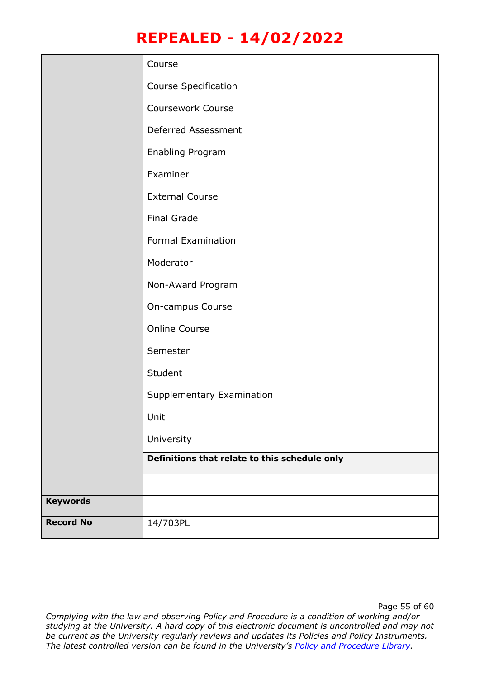|                  | Course                                        |
|------------------|-----------------------------------------------|
|                  | <b>Course Specification</b>                   |
|                  | <b>Coursework Course</b>                      |
|                  | Deferred Assessment                           |
|                  | Enabling Program                              |
|                  | Examiner                                      |
|                  | <b>External Course</b>                        |
|                  | <b>Final Grade</b>                            |
|                  | <b>Formal Examination</b>                     |
|                  | Moderator                                     |
|                  | Non-Award Program                             |
|                  | On-campus Course                              |
|                  | Online Course                                 |
|                  | Semester                                      |
|                  | Student                                       |
|                  | Supplementary Examination                     |
|                  | Unit                                          |
|                  | University                                    |
|                  | Definitions that relate to this schedule only |
|                  |                                               |
| <b>Keywords</b>  |                                               |
| <b>Record No</b> | 14/703PL                                      |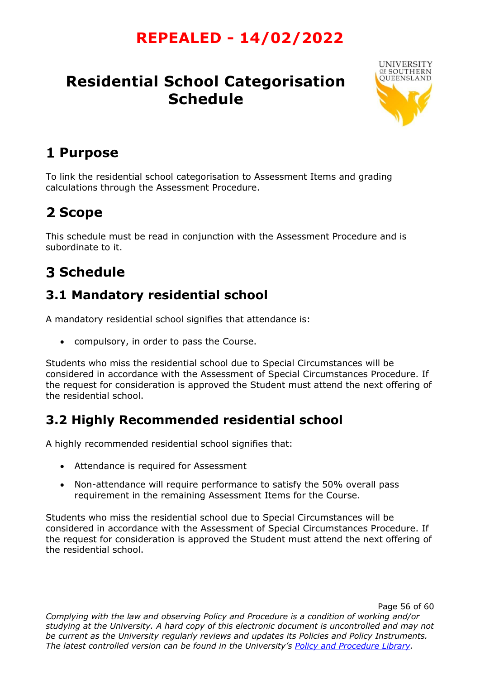## <span id="page-55-0"></span>**Residential School Categorisation Schedule**



Page 56 of 60

## **Purpose**

To link the residential school categorisation to Assessment Items and grading calculations through the Assessment Procedure.

# 2 Scope

This schedule must be read in conjunction with the Assessment Procedure and is subordinate to it.

# **3 Schedule**

### **3.1 Mandatory residential school**

A mandatory residential school signifies that attendance is:

• compulsory, in order to pass the Course.

Students who miss the residential school due to Special Circumstances will be considered in accordance with the Assessment of Special Circumstances Procedure. If the request for consideration is approved the Student must attend the next offering of the residential school.

### **3.2 Highly Recommended residential school**

A highly recommended residential school signifies that:

- Attendance is required for Assessment
- Non-attendance will require performance to satisfy the 50% overall pass requirement in the remaining Assessment Items for the Course.

Students who miss the residential school due to Special Circumstances will be considered in accordance with the Assessment of Special Circumstances Procedure. If the request for consideration is approved the Student must attend the next offering of the residential school.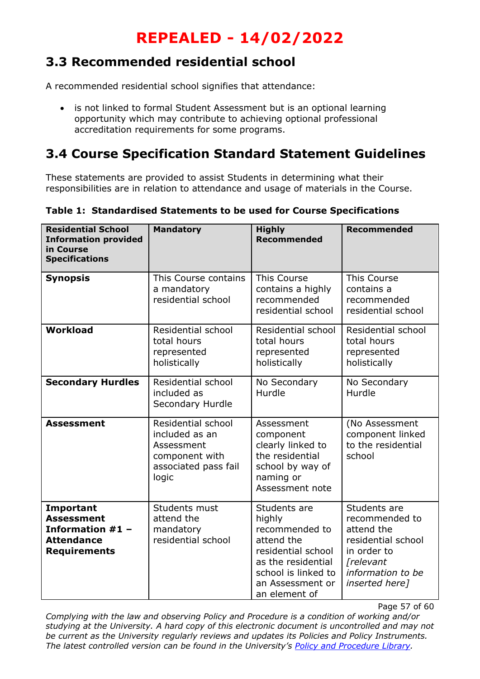### **3.3 Recommended residential school**

A recommended residential school signifies that attendance:

• is not linked to formal Student Assessment but is an optional learning opportunity which may contribute to achieving optional professional accreditation requirements for some programs.

### **3.4 Course Specification Standard Statement Guidelines**

These statements are provided to assist Students in determining what their responsibilities are in relation to attendance and usage of materials in the Course.

**Table 1: Standardised Statements to be used for Course Specifications**

| <b>Residential School</b><br><b>Information provided</b><br>in Course<br><b>Specifications</b>   | <b>Mandatory</b>                                                                                      | <b>Highly</b><br><b>Recommended</b>                                                                                                                            | <b>Recommended</b>                                                                                                                           |
|--------------------------------------------------------------------------------------------------|-------------------------------------------------------------------------------------------------------|----------------------------------------------------------------------------------------------------------------------------------------------------------------|----------------------------------------------------------------------------------------------------------------------------------------------|
| <b>Synopsis</b>                                                                                  | This Course contains<br>a mandatory<br>residential school                                             | This Course<br>contains a highly<br>recommended<br>residential school                                                                                          | <b>This Course</b><br>contains a<br>recommended<br>residential school                                                                        |
| <b>Workload</b>                                                                                  | Residential school<br>total hours<br>represented<br>holistically                                      | Residential school<br>total hours<br>represented<br>holistically                                                                                               | Residential school<br>total hours<br>represented<br>holistically                                                                             |
| <b>Secondary Hurdles</b>                                                                         | Residential school<br>included as<br>Secondary Hurdle                                                 | No Secondary<br>Hurdle                                                                                                                                         | No Secondary<br>Hurdle                                                                                                                       |
| <b>Assessment</b>                                                                                | Residential school<br>included as an<br>Assessment<br>component with<br>associated pass fail<br>logic | Assessment<br>component<br>clearly linked to<br>the residential<br>school by way of<br>naming or<br>Assessment note                                            | (No Assessment<br>component linked<br>to the residential<br>school                                                                           |
| Important<br><b>Assessment</b><br>Information $#1 -$<br><b>Attendance</b><br><b>Requirements</b> | Students must<br>attend the<br>mandatory<br>residential school                                        | Students are<br>highly<br>recommended to<br>attend the<br>residential school<br>as the residential<br>school is linked to<br>an Assessment or<br>an element of | Students are<br>recommended to<br>attend the<br>residential school<br>in order to<br><i>[relevant</i><br>information to be<br>inserted here] |

Page 57 of 60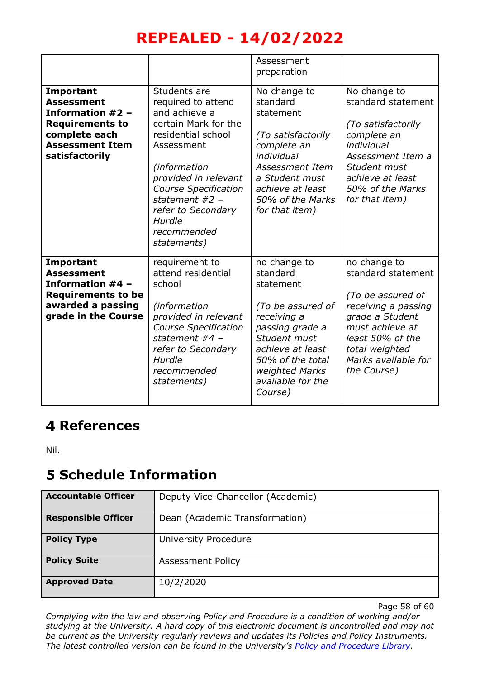|                                                                                                                                             |                                                                                                                                                                                                                                                                        | Assessment<br>preparation                                                                                                                                                                              |                                                                                                                                                                                                  |
|---------------------------------------------------------------------------------------------------------------------------------------------|------------------------------------------------------------------------------------------------------------------------------------------------------------------------------------------------------------------------------------------------------------------------|--------------------------------------------------------------------------------------------------------------------------------------------------------------------------------------------------------|--------------------------------------------------------------------------------------------------------------------------------------------------------------------------------------------------|
| Important<br><b>Assessment</b><br>Information $#2 -$<br><b>Requirements to</b><br>complete each<br><b>Assessment Item</b><br>satisfactorily | Students are<br>required to attend<br>and achieve a<br>certain Mark for the<br>residential school<br>Assessment<br>(information<br>provided in relevant<br><b>Course Specification</b><br>statement #2 -<br>refer to Secondary<br>Hurdle<br>recommended<br>statements) | No change to<br>standard<br>statement<br>(To satisfactorily<br>complete an<br>individual<br><b>Assessment Item</b><br>a Student must<br>achieve at least<br>50% of the Marks<br>for that item)         | No change to<br>standard statement<br>(To satisfactorily<br>complete an<br>individual<br>Assessment Item a<br>Student must<br>achieve at least<br>50% of the Marks<br>for that item)             |
| Important<br><b>Assessment</b><br>Information $#4 -$<br><b>Requirements to be</b><br>awarded a passing<br>grade in the Course               | requirement to<br>attend residential<br>school<br>(information<br>provided in relevant<br><b>Course Specification</b><br>statement #4 -<br>refer to Secondary<br>Hurdle<br>recommended<br>statements)                                                                  | no change to<br>standard<br>statement<br>(To be assured of<br>receiving a<br>passing grade a<br>Student must<br>achieve at least<br>50% of the total<br>weighted Marks<br>available for the<br>Course) | no change to<br>standard statement<br>(To be assured of<br>receiving a passing<br>grade a Student<br>must achieve at<br>least 50% of the<br>total weighted<br>Marks available for<br>the Course) |

### **References**

Nil.

### **Schedule Information**

| <b>Accountable Officer</b> | Deputy Vice-Chancellor (Academic) |
|----------------------------|-----------------------------------|
| <b>Responsible Officer</b> | Dean (Academic Transformation)    |
| <b>Policy Type</b>         | University Procedure              |
| <b>Policy Suite</b>        | <b>Assessment Policy</b>          |
| <b>Approved Date</b>       | 10/2/2020                         |

Page 58 of 60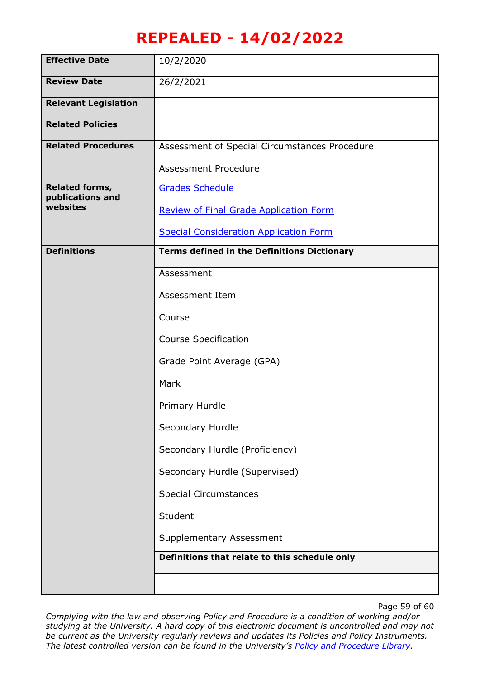| <b>Effective Date</b>              | 10/2/2020                                          |  |
|------------------------------------|----------------------------------------------------|--|
| <b>Review Date</b>                 | 26/2/2021                                          |  |
| <b>Relevant Legislation</b>        |                                                    |  |
| <b>Related Policies</b>            |                                                    |  |
| <b>Related Procedures</b>          | Assessment of Special Circumstances Procedure      |  |
|                                    | Assessment Procedure                               |  |
| Related forms,<br>publications and | <b>Grades Schedule</b>                             |  |
| websites                           | <b>Review of Final Grade Application Form</b>      |  |
|                                    | <b>Special Consideration Application Form</b>      |  |
| <b>Definitions</b>                 | <b>Terms defined in the Definitions Dictionary</b> |  |
|                                    | Assessment                                         |  |
|                                    | Assessment Item                                    |  |
|                                    | Course                                             |  |
|                                    | <b>Course Specification</b>                        |  |
|                                    | Grade Point Average (GPA)                          |  |
|                                    | Mark                                               |  |
|                                    | Primary Hurdle                                     |  |
|                                    | Secondary Hurdle                                   |  |
|                                    | Secondary Hurdle (Proficiency)                     |  |
|                                    | Secondary Hurdle (Supervised)                      |  |
|                                    | <b>Special Circumstances</b>                       |  |
|                                    | Student                                            |  |
|                                    | Supplementary Assessment                           |  |
|                                    | Definitions that relate to this schedule only      |  |
|                                    |                                                    |  |
|                                    |                                                    |  |

Page 59 of 60